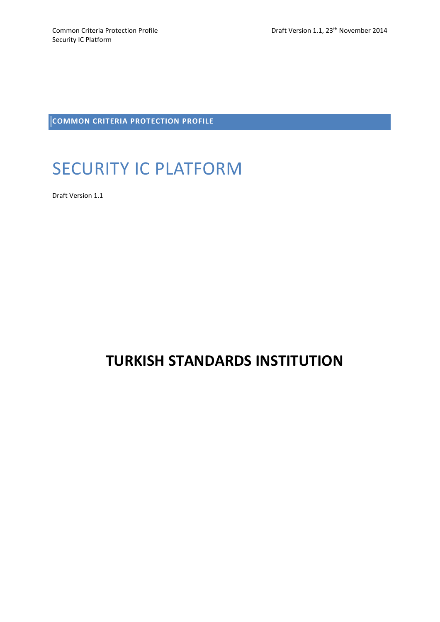**COMMON CRITERIA PROTECTION PROFILE** 

# SECURITY IC PLATFORM

Draft Version 1.1

# **TURKISH STANDARDS INSTITUTION**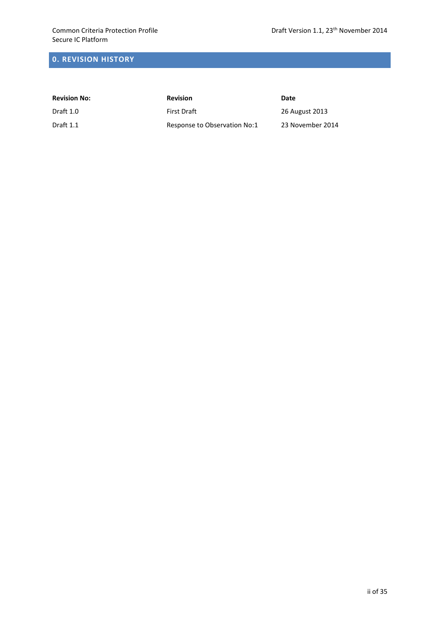# **0. REVISION HISTORY**

| <b>Revision No:</b> | <b>Revision</b>              | Date             |
|---------------------|------------------------------|------------------|
| Draft 1.0           | <b>First Draft</b>           | 26 August 2013   |
| Draft 1.1           | Response to Observation No:1 | 23 November 2014 |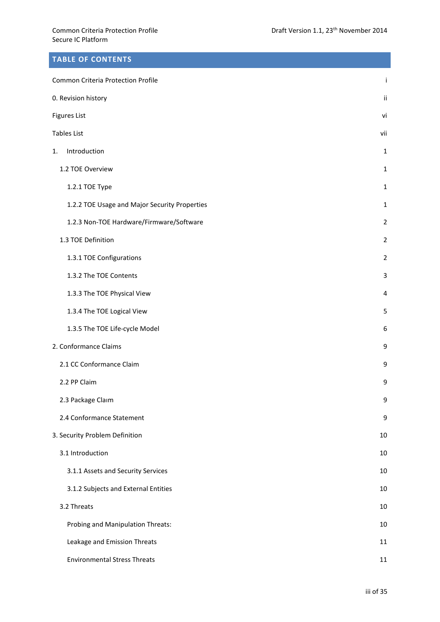# **TABLE OF CONTENTS**

| Common Criteria Protection Profile            |                |  |
|-----------------------------------------------|----------------|--|
| 0. Revision history                           |                |  |
| <b>Figures List</b>                           |                |  |
| <b>Tables List</b>                            |                |  |
| Introduction<br>1.                            | $\mathbf{1}$   |  |
| 1.2 TOE Overview                              | $\mathbf{1}$   |  |
| 1.2.1 TOE Type                                | $\mathbf{1}$   |  |
| 1.2.2 TOE Usage and Major Security Properties | $\mathbf{1}$   |  |
| 1.2.3 Non-TOE Hardware/Firmware/Software      | $\overline{2}$ |  |
| 1.3 TOE Definition                            | $\overline{2}$ |  |
| 1.3.1 TOE Configurations                      | $\overline{2}$ |  |
| 1.3.2 The TOE Contents                        | 3              |  |
| 1.3.3 The TOE Physical View                   | 4              |  |
| 1.3.4 The TOE Logical View                    | 5              |  |
| 1.3.5 The TOE Life-cycle Model                | 6              |  |
| 2. Conformance Claims                         | 9              |  |
| 2.1 CC Conformance Claim                      | 9              |  |
| 2.2 PP Claim                                  | 9              |  |
| 2.3 Package Claim                             | 9              |  |
| 2.4 Conformance Statement                     | 9              |  |
| 3. Security Problem Definition                | 10             |  |
| 3.1 Introduction                              | 10             |  |
| 3.1.1 Assets and Security Services            | 10             |  |
| 3.1.2 Subjects and External Entities          | 10             |  |
| 3.2 Threats                                   | 10             |  |
| Probing and Manipulation Threats:             | 10             |  |
| Leakage and Emission Threats                  | 11             |  |
| <b>Environmental Stress Threats</b>           | 11             |  |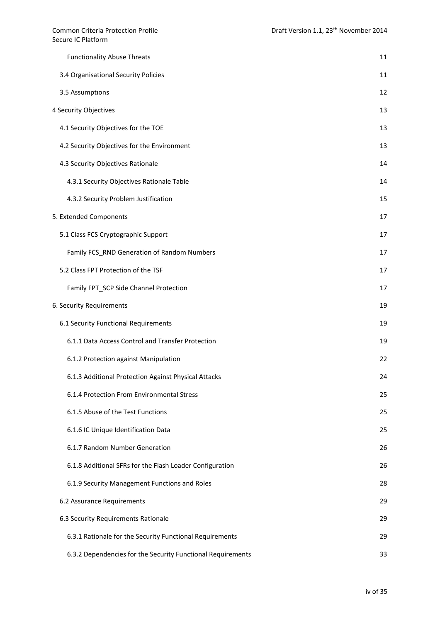| <b>Functionality Abuse Threats</b>                          | 11 |
|-------------------------------------------------------------|----|
| 3.4 Organisational Security Policies                        | 11 |
| 3.5 Assumptions                                             | 12 |
| 4 Security Objectives                                       | 13 |
| 4.1 Security Objectives for the TOE                         | 13 |
| 4.2 Security Objectives for the Environment                 | 13 |
| 4.3 Security Objectives Rationale                           | 14 |
| 4.3.1 Security Objectives Rationale Table                   | 14 |
| 4.3.2 Security Problem Justification                        | 15 |
| 5. Extended Components                                      | 17 |
| 5.1 Class FCS Cryptographic Support                         | 17 |
| Family FCS_RND Generation of Random Numbers                 | 17 |
| 5.2 Class FPT Protection of the TSF                         | 17 |
| Family FPT_SCP Side Channel Protection                      | 17 |
| 6. Security Requirements                                    | 19 |
| 6.1 Security Functional Requirements                        | 19 |
| 6.1.1 Data Access Control and Transfer Protection           | 19 |
| 6.1.2 Protection against Manipulation                       | 22 |
| 6.1.3 Additional Protection Against Physical Attacks        | 24 |
| 6.1.4 Protection From Environmental Stress                  | 25 |
| 6.1.5 Abuse of the Test Functions                           | 25 |
| 6.1.6 IC Unique Identification Data                         | 25 |
| 6.1.7 Random Number Generation                              | 26 |
| 6.1.8 Additional SFRs for the Flash Loader Configuration    | 26 |
| 6.1.9 Security Management Functions and Roles               | 28 |
| 6.2 Assurance Requirements                                  | 29 |
| 6.3 Security Requirements Rationale                         | 29 |
| 6.3.1 Rationale for the Security Functional Requirements    | 29 |
| 6.3.2 Dependencies for the Security Functional Requirements | 33 |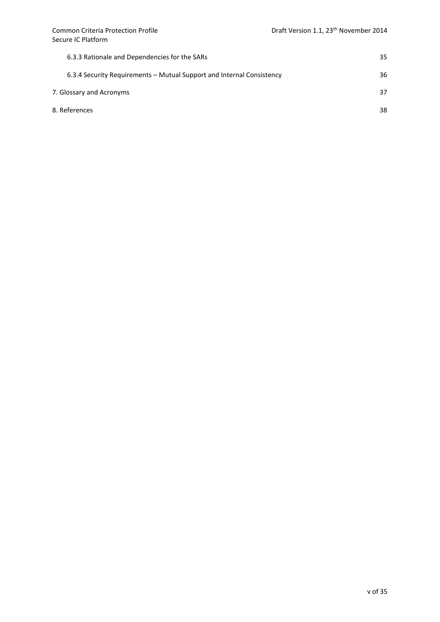| 6.3.3 Rationale and Dependencies for the SARs                         | 35 |
|-----------------------------------------------------------------------|----|
| 6.3.4 Security Requirements – Mutual Support and Internal Consistency | 36 |
| 7. Glossary and Acronyms                                              |    |
| 8. References                                                         | 38 |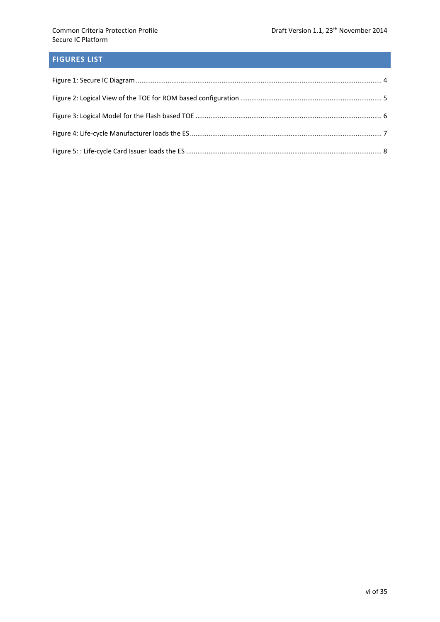# **FIGURES LIST**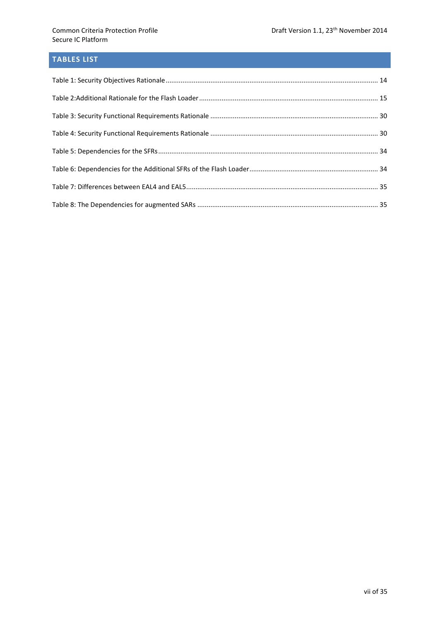# **TABLES LIST**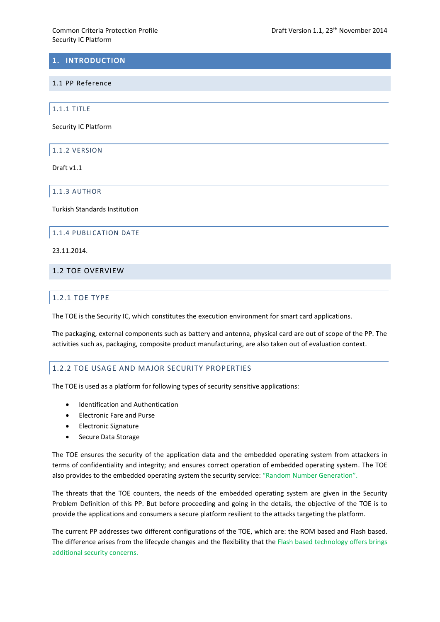# **1. INTRODUCTION**

#### 1.1 PP Reference

1.1.1 TITLE

Security IC Platform

1.1.2 VERSION

Draft v1.1

1.1.3 AUTHOR

Turkish Standards Institution

#### 1.1.4 PUBLICATION DATE

23.11.2014.

# 1.2 TOE OVERVIEW

### 1.2.1 TOE TYPE

The TOE is the Security IC, which constitutes the execution environment for smart card applications.

The packaging, external components such as battery and antenna, physical card are out of scope of the PP. The activities such as, packaging, composite product manufacturing, are also taken out of evaluation context.

### 1.2.2 TOE USAGE AND MAJOR SECURITY PROPERTIES

The TOE is used as a platform for following types of security sensitive applications:

- Identification and Authentication
- Electronic Fare and Purse
- Electronic Signature
- Secure Data Storage

The TOE ensures the security of the application data and the embedded operating system from attackers in terms of confidentiality and integrity; and ensures correct operation of embedded operating system. The TOE also provides to the embedded operating system the security service: "Random Number Generation".

The threats that the TOE counters, the needs of the embedded operating system are given in the Security Problem Definition of this PP. But before proceeding and going in the details, the objective of the TOE is to provide the applications and consumers a secure platform resilient to the attacks targeting the platform.

The current PP addresses two different configurations of the TOE, which are: the ROM based and Flash based. The difference arises from the lifecycle changes and the flexibility that the Flash based technology offers brings additional security concerns.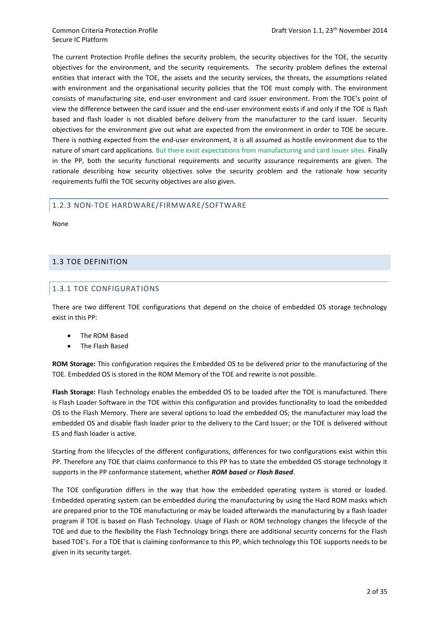The current Protection Profile defines the security problem, the security objectives for the TOE, the security objectives for the environment, and the security requirements. The security problem defines the external entities that interact with the TOE, the assets and the security services, the threats, the assumptions related with environment and the organisational security policies that the TOE must comply with. The environment consists of manufacturing site, end-user environment and card issuer environment. From the TOE's point of view the difference between the card issuer and the end-user environment exists if and only if the TOE is flash based and flash loader is not disabled before delivery from the manufacturer to the card issuer. Security objectives for the environment give out what are expected from the environment in order to TOE be secure. There is nothing expected from the end-user environment, it is all assumed as hostile environment due to the nature of smart card applications. But there exist expectations from manufacturing and card issuer sites. Finally in the PP, both the security functional requirements and security assurance requirements are given. The rationale describing how security objectives solve the security problem and the rationale how security requirements fulfil the TOE security objectives are also given.

# 1.2.3 NON-TOE HARDWARE/FIRMWARE/SOFTWARE

None

# 1.3 TOE DEFINITION

# 1.3.1 TOE CONFIGURATIONS

There are two different TOE configurations that depend on the choice of embedded OS storage technology exist in this PP:

- The ROM Based
- The Flash Based

**ROM Storage:** This configuration requires the Embedded OS to be delivered prior to the manufacturing of the TOE. Embedded OS is stored in the ROM Memory of the TOE and rewrite is not possible.

**Flash Storage:** Flash Technology enables the embedded OS to be loaded after the TOE is manufactured. There is Flash Loader Software in the TOE within this configuration and provides functionality to load the embedded OS to the Flash Memory. There are several options to load the embedded OS; the manufacturer may load the embedded OS and disable flash loader prior to the delivery to the Card Issuer; or the TOE is delivered without ES and flash loader is active.

Starting from the lifecycles of the different configurations, differences for two configurations exist within this PP. Therefore any TOE that claims conformance to this PP has to state the embedded OS storage technology it supports in the PP conformance statement, whether **ROM based** or *Flash Based*.

The TOE configuration differs in the way that how the embedded operating system is stored or loaded. Embedded operating system can be embedded during the manufacturing by using the Hard ROM masks which are prepared prior to the TOE manufacturing or may be loaded afterwards the manufacturing by a flash loader program if TOE is based on Flash Technology. Usage of Flash or ROM technology changes the lifecycle of the TOE and due to the flexibility the Flash Technology brings there are additional security concerns for the Flash based TOE's. For a TOE that is claiming conformance to this PP, which technology this TOE supports needs to be given in its security target.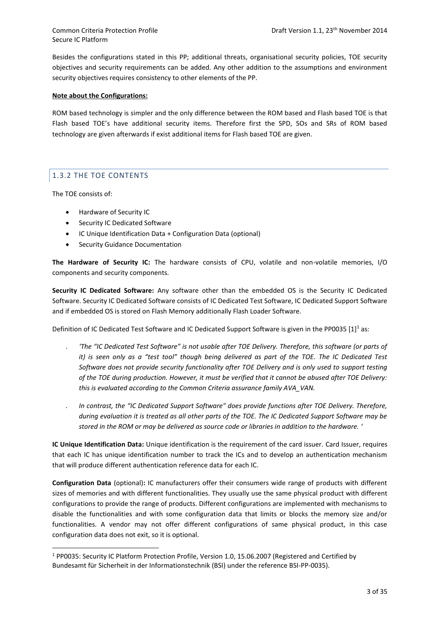Besides the configurations stated in this PP; additional threats, organisational security policies, TOE security objectives and security requirements can be added. Any other addition to the assumptions and environment security objectives requires consistency to other elements of the PP.

## **Note about the Configurations:**

ROM based technology is simpler and the only difference between the ROM based and Flash based TOE is that Flash based TOE's have additional security items. Therefore first the SPD, SOs and SRs of ROM based technology are given afterwards if exist additional items for Flash based TOE are given.

# 1.3.2 THE TOE CONTENTS

The TOE consists of:

**.** 

- Hardware of Security IC
- Security IC Dedicated Software
- IC Unique Identification Data + Configuration Data (optional)
- Security Guidance Documentation

**The Hardware of Security IC:** The hardware consists of CPU, volatile and non-volatile memories, I/O components and security components.

**Security IC Dedicated Software:** Any software other than the embedded OS is the Security IC Dedicated Software. Security IC Dedicated Software consists of IC Dedicated Test Software, IC Dedicated Support Software and if embedded OS is stored on Flash Memory additionally Flash Loader Software.

Definition of IC Dedicated Test Software and IC Dedicated Support Software is given in the PP0035 [1]<sup>1</sup> as:

- . *'The "IC Dedicated Test Software" is not usable after TOE Delivery. Therefore, this software (or parts of it) is seen only as a "test tool" though being delivered as part of the TOE. The IC Dedicated Test Software does not provide security functionality after TOE Delivery and is only used to support testing of the TOE during production. However, it must be verified that it cannot be abused after TOE Delivery: this is evaluated according to the Common Criteria assurance family AVA\_VAN.*
- . *In contrast, the "IC Dedicated Support Software" does provide functions after TOE Delivery. Therefore, during evaluation it is treated as all other parts of the TOE. The IC Dedicated Support Software may be stored in the ROM or may be delivered as source code or libraries in addition to the hardware. '*

**IC Unique Identification Data:** Unique identification is the requirement of the card issuer. Card Issuer, requires that each IC has unique identification number to track the ICs and to develop an authentication mechanism that will produce different authentication reference data for each IC.

**Configuration Data** (optional)**:** IC manufacturers offer their consumers wide range of products with different sizes of memories and with different functionalities. They usually use the same physical product with different configurations to provide the range of products. Different configurations are implemented with mechanisms to disable the functionalities and with some configuration data that limits or blocks the memory size and/or functionalities. A vendor may not offer different configurations of same physical product, in this case configuration data does not exit, so it is optional.

<sup>1</sup> PP0035: Security IC Platform Protection Profile, Version 1.0, 15.06.2007 (Registered and Certified by Bundesamt für Sicherheit in der Informationstechnik (BSI) under the reference BSI-PP-0035).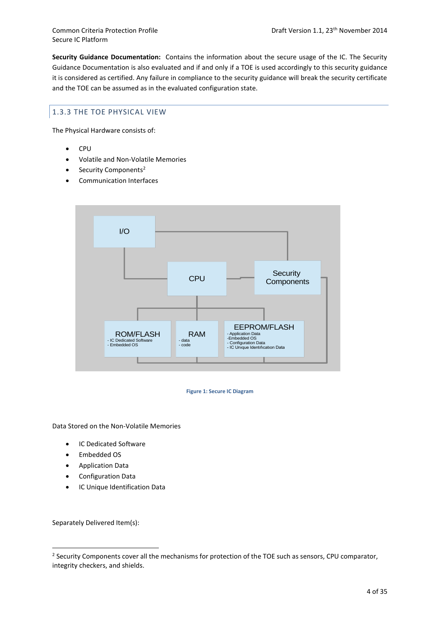**Security Guidance Documentation:** Contains the information about the secure usage of the IC. The Security Guidance Documentation is also evaluated and if and only if a TOE is used accordingly to this security guidance it is considered as certified. Any failure in compliance to the security guidance will break the security certificate and the TOE can be assumed as in the evaluated configuration state.

# 1.3.3 THE TOE PHYSICAL VIEW

The Physical Hardware consists of:

- CPU
- Volatile and Non-Volatile Memories
- Security Components<sup>2</sup>
- Communication Interfaces



**Figure 1: Secure IC Diagram**

<span id="page-10-0"></span>Data Stored on the Non-Volatile Memories

- IC Dedicated Software
- Embedded OS
- Application Data
- Configuration Data
- IC Unique Identification Data

Separately Delivered Item(s):

<sup>&</sup>lt;sup>2</sup> Security Components cover all the mechanisms for protection of the TOE such as sensors, CPU comparator, integrity checkers, and shields.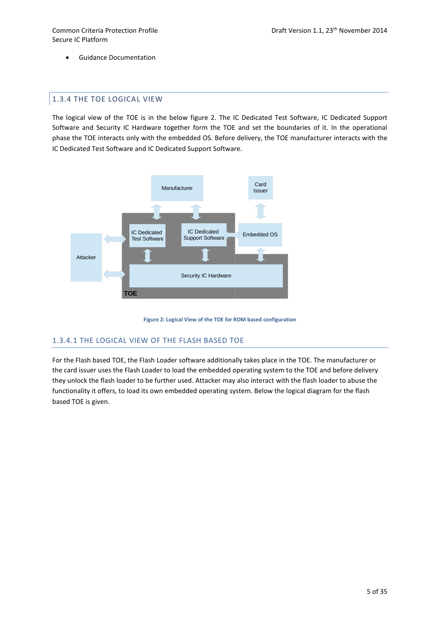Guidance Documentation

# 1.3.4 THE TOE LOGICAL VIEW

The logical view of the TOE is in the below figure 2. The IC Dedicated Test Software, IC Dedicated Support Software and Security IC Hardware together form the TOE and set the boundaries of it. In the operational phase the TOE interacts only with the embedded OS. Before delivery, the TOE manufacturer interacts with the IC Dedicated Test Software and IC Dedicated Support Software.





# <span id="page-11-0"></span>1.3.4.1 THE LOGICAL VIEW OF THE FLASH BASED TOE

For the Flash based TOE, the Flash Loader software additionally takes place in the TOE. The manufacturer or the card issuer uses the Flash Loader to load the embedded operating system to the TOE and before delivery they unlock the flash loader to be further used. Attacker may also interact with the flash loader to abuse the functionality it offers, to load its own embedded operating system. Below the logical diagram for the flash based TOE is given.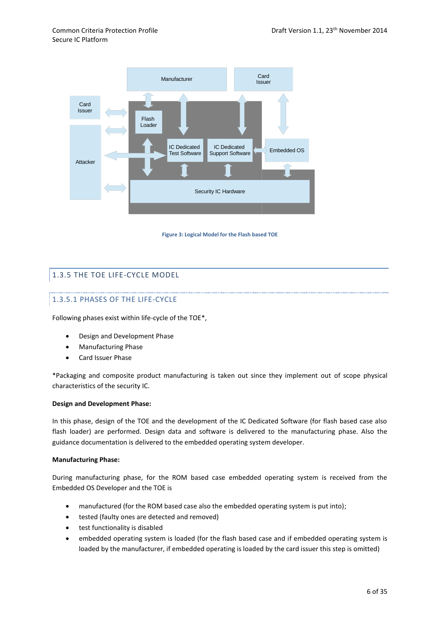

**Figure 3: Logical Model for the Flash based TOE**

# <span id="page-12-0"></span>1.3.5 THE TOE LIFE-CYCLE MODEL

# 1.3.5.1 PHASES OF THE LIFE-CYCLE

Following phases exist within life-cycle of the TOE\*,

- Design and Development Phase
- Manufacturing Phase
- Card Issuer Phase

\*Packaging and composite product manufacturing is taken out since they implement out of scope physical characteristics of the security IC.

### **Design and Development Phase:**

In this phase, design of the TOE and the development of the IC Dedicated Software (for flash based case also flash loader) are performed. Design data and software is delivered to the manufacturing phase. Also the guidance documentation is delivered to the embedded operating system developer.

#### **Manufacturing Phase:**

During manufacturing phase, for the ROM based case embedded operating system is received from the Embedded OS Developer and the TOE is

- manufactured (for the ROM based case also the embedded operating system is put into);
- tested (faulty ones are detected and removed)
- test functionality is disabled
- embedded operating system is loaded (for the flash based case and if embedded operating system is loaded by the manufacturer, if embedded operating is loaded by the card issuer this step is omitted)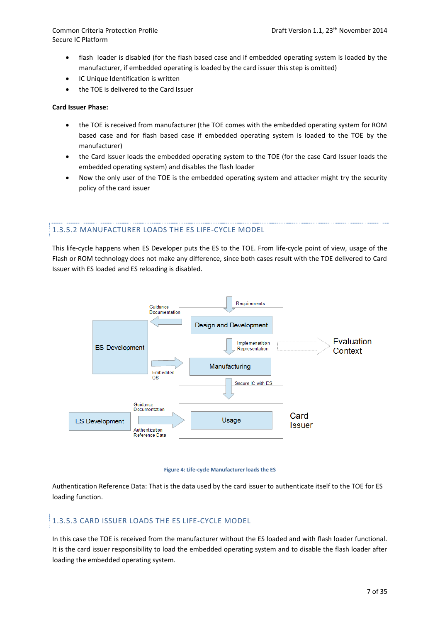- flash loader is disabled (for the flash based case and if embedded operating system is loaded by the manufacturer, if embedded operating is loaded by the card issuer this step is omitted)
- IC Unique Identification is written
- the TOE is delivered to the Card Issuer

#### **Card Issuer Phase:**

- the TOE is received from manufacturer (the TOE comes with the embedded operating system for ROM based case and for flash based case if embedded operating system is loaded to the TOE by the manufacturer)
- the Card Issuer loads the embedded operating system to the TOE (for the case Card Issuer loads the embedded operating system) and disables the flash loader
- Now the only user of the TOE is the embedded operating system and attacker might try the security policy of the card issuer

### 1.3.5.2 MANUFACTURER LOADS THE ES LIFE-CYCLE MODEL

This life-cycle happens when ES Developer puts the ES to the TOE. From life-cycle point of view, usage of the Flash or ROM technology does not make any difference, since both cases result with the TOE delivered to Card Issuer with ES loaded and ES reloading is disabled.



#### **Figure 4: Life-cycle Manufacturer loads the ES**

<span id="page-13-0"></span>Authentication Reference Data: That is the data used by the card issuer to authenticate itself to the TOE for ES loading function.

### 1.3.5.3 CARD ISSUER LOADS THE ES LIFE-CYCLE MODEL

In this case the TOE is received from the manufacturer without the ES loaded and with flash loader functional. It is the card issuer responsibility to load the embedded operating system and to disable the flash loader after loading the embedded operating system.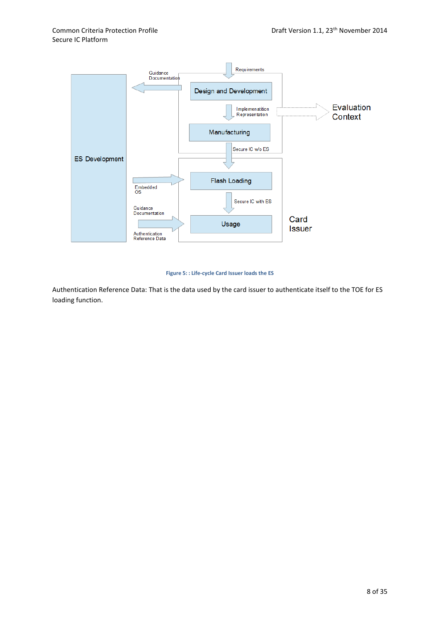

#### **Figure 5: : Life-cycle Card Issuer loads the ES**

<span id="page-14-0"></span>Authentication Reference Data: That is the data used by the card issuer to authenticate itself to the TOE for ES loading function.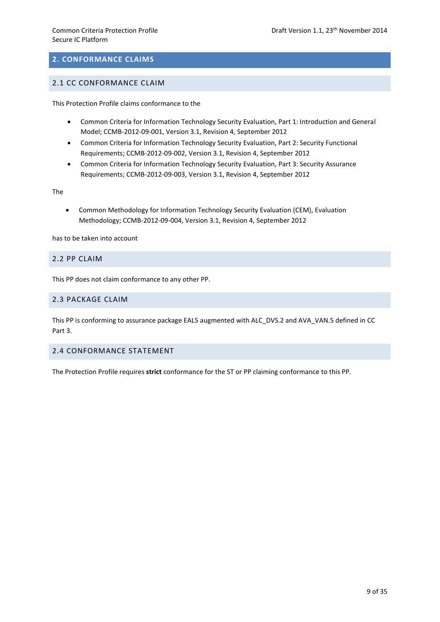# **2. CONFORMANCE CLAIMS**

# 2.1 CC CONFORMANCE CLAIM

This Protection Profile claims conformance to the

- Common Criteria for Information Technology Security Evaluation, Part 1: Introduction and General Model; CCMB-2012-09-001, Version 3.1, Revision 4, September 2012
- Common Criteria for Information Technology Security Evaluation, Part 2: Security Functional Requirements; CCMB-2012-09-002, Version 3.1, Revision 4, September 2012
- Common Criteria for Information Technology Security Evaluation, Part 3: Security Assurance Requirements; CCMB-2012-09-003, Version 3.1, Revision 4, September 2012

The

 Common Methodology for Information Technology Security Evaluation (CEM), Evaluation Methodology; CCMB-2012-09-004, Version 3.1, Revision 4, September 2012

has to be taken into account

## 2.2 PP CLAIM

This PP does not claim conformance to any other PP.

# 2.3 PACKAGE CLAIM

This PP is conforming to assurance package EAL5 augmented with ALC\_DVS.2 and AVA\_VAN.5 defined in CC Part 3.

### 2.4 CONFORMANCE STATEMENT

The Protection Profile requires **strict** conformance for the ST or PP claiming conformance to this PP.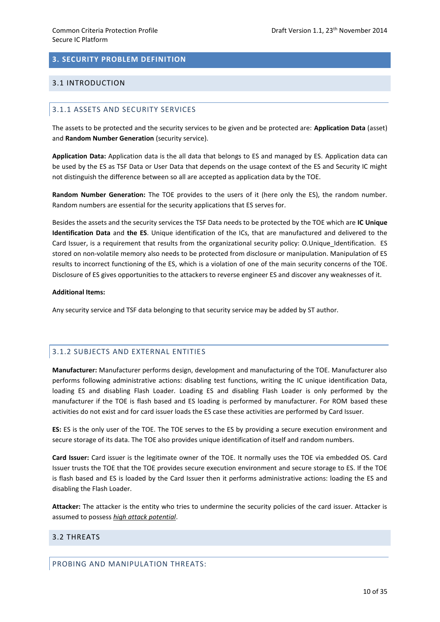# **3. SECURITY PROBLEM DEFINITION**

## 3.1 INTRODUCTION

## 3.1.1 ASSETS AND SECURITY SERVICES

The assets to be protected and the security services to be given and be protected are: **Application Data** (asset) and **Random Number Generation** (security service).

**Application Data:** Application data is the all data that belongs to ES and managed by ES. Application data can be used by the ES as TSF Data or User Data that depends on the usage context of the ES and Security IC might not distinguish the difference between so all are accepted as application data by the TOE.

**Random Number Generation:** The TOE provides to the users of it (here only the ES), the random number. Random numbers are essential for the security applications that ES serves for.

Besides the assets and the security services the TSF Data needs to be protected by the TOE which are **IC Unique Identification Data** and **the ES**. Unique identification of the ICs, that are manufactured and delivered to the Card Issuer, is a requirement that results from the organizational security policy: O.Unique\_Identification. ES stored on non-volatile memory also needs to be protected from disclosure or manipulation. Manipulation of ES results to incorrect functioning of the ES, which is a violation of one of the main security concerns of the TOE. Disclosure of ES gives opportunities to the attackers to reverse engineer ES and discover any weaknesses of it.

#### **Additional Items:**

Any security service and TSF data belonging to that security service may be added by ST author.

# 3.1.2 SUBJECTS AND EXTERNAL ENTITIES

**Manufacturer:** Manufacturer performs design, development and manufacturing of the TOE. Manufacturer also performs following administrative actions: disabling test functions, writing the IC unique identification Data, loading ES and disabling Flash Loader. Loading ES and disabling Flash Loader is only performed by the manufacturer if the TOE is flash based and ES loading is performed by manufacturer. For ROM based these activities do not exist and for card issuer loads the ES case these activities are performed by Card Issuer.

**ES:** ES is the only user of the TOE. The TOE serves to the ES by providing a secure execution environment and secure storage of its data. The TOE also provides unique identification of itself and random numbers.

**Card Issuer:** Card issuer is the legitimate owner of the TOE. It normally uses the TOE via embedded OS. Card Issuer trusts the TOE that the TOE provides secure execution environment and secure storage to ES. If the TOE is flash based and ES is loaded by the Card Issuer then it performs administrative actions: loading the ES and disabling the Flash Loader.

**Attacker:** The attacker is the entity who tries to undermine the security policies of the card issuer. Attacker is assumed to possess *high attack potential*.

# 3.2 THREATS

PROBING AND MANIPULATION THREATS: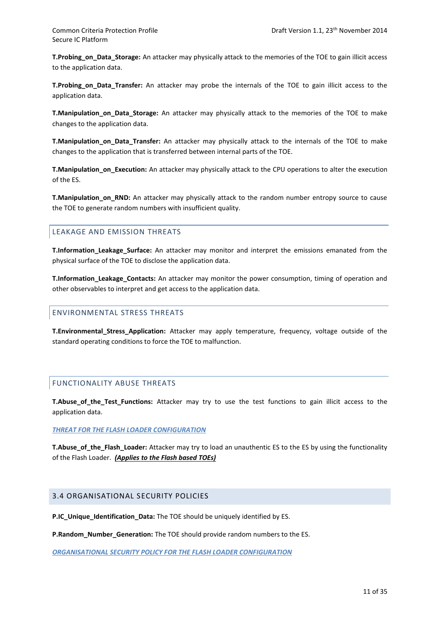**T.Probing\_on\_Data\_Storage:** An attacker may physically attack to the memories of the TOE to gain illicit access to the application data.

**T.Probing\_on\_Data\_Transfer:** An attacker may probe the internals of the TOE to gain illicit access to the application data.

**T.Manipulation\_on\_Data\_Storage:** An attacker may physically attack to the memories of the TOE to make changes to the application data.

**T.Manipulation\_on\_Data\_Transfer:** An attacker may physically attack to the internals of the TOE to make changes to the application that is transferred between internal parts of the TOE.

**T.Manipulation\_on\_Execution:** An attacker may physically attack to the CPU operations to alter the execution of the ES.

**T.Manipulation\_on\_RND:** An attacker may physically attack to the random number entropy source to cause the TOE to generate random numbers with insufficient quality.

# LEAKAGE AND EMISSION THREATS

**T.Information\_Leakage\_Surface:** An attacker may monitor and interpret the emissions emanated from the physical surface of the TOE to disclose the application data.

**T.Information\_Leakage\_Contacts:** An attacker may monitor the power consumption, timing of operation and other observables to interpret and get access to the application data.

## ENVIRONMENTAL STRESS THREATS

**T.Environmental\_Stress\_Application:** Attacker may apply temperature, frequency, voltage outside of the standard operating conditions to force the TOE to malfunction.

# FUNCTIONALITY ABUSE THREATS

**T.Abuse of the Test Functions:** Attacker may try to use the test functions to gain illicit access to the application data.

#### *THREAT FOR THE FLASH LOADER CONFIGURATION*

**T.Abuse\_of\_the\_Flash\_Loader:** Attacker may try to load an unauthentic ES to the ES by using the functionality of the Flash Loader. *(Applies to the Flash based TOEs)*

### 3.4 ORGANISATIONAL SECURITY POLICIES

**P.IC\_Unique\_Identification\_Data:** The TOE should be uniquely identified by ES.

**P.Random\_Number\_Generation:** The TOE should provide random numbers to the ES.

*ORGANISATIONAL SECURITY POLICY FOR THE FLASH LOADER CONFIGURATION*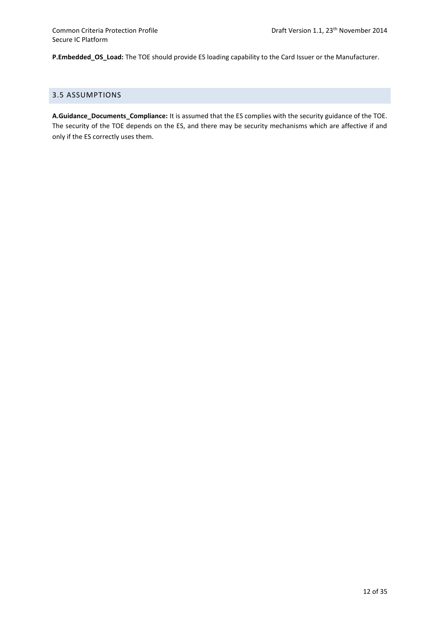**P.Embedded\_OS\_Load:** The TOE should provide ES loading capability to the Card Issuer or the Manufacturer.

# 3.5 ASSUMPTIONS

**A.Guidance\_Documents\_Compliance:** It is assumed that the ES complies with the security guidance of the TOE. The security of the TOE depends on the ES, and there may be security mechanisms which are affective if and only if the ES correctly uses them.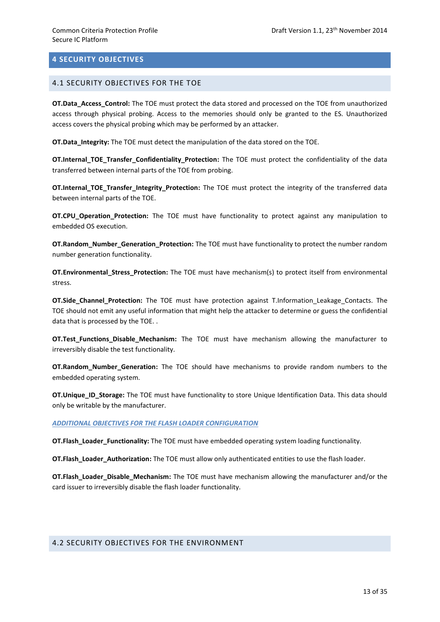# **4 SECURITY OBJECTIVES**

#### 4.1 SECURITY OBJECTIVES FOR THE TOE

**OT.Data Access Control:** The TOE must protect the data stored and processed on the TOE from unauthorized access through physical probing. Access to the memories should only be granted to the ES. Unauthorized access covers the physical probing which may be performed by an attacker.

**OT.Data\_Integrity:** The TOE must detect the manipulation of the data stored on the TOE.

**OT.Internal\_TOE\_Transfer\_Confidentiality\_Protection:** The TOE must protect the confidentiality of the data transferred between internal parts of the TOE from probing.

**OT.Internal TOE Transfer Integrity Protection:** The TOE must protect the integrity of the transferred data between internal parts of the TOE.

**OT.CPU Operation Protection:** The TOE must have functionality to protect against any manipulation to embedded OS execution.

**OT.Random\_Number\_Generation\_Protection:** The TOE must have functionality to protect the number random number generation functionality.

**OT.Environmental\_Stress\_Protection:** The TOE must have mechanism(s) to protect itself from environmental stress.

**OT.Side\_Channel\_Protection:** The TOE must have protection against T.Information\_Leakage\_Contacts. The TOE should not emit any useful information that might help the attacker to determine or guess the confidential data that is processed by the TOE. .

**OT.Test\_Functions\_Disable\_Mechanism:** The TOE must have mechanism allowing the manufacturer to irreversibly disable the test functionality.

**OT.Random\_Number\_Generation:** The TOE should have mechanisms to provide random numbers to the embedded operating system.

**OT.Unique\_ID\_Storage:** The TOE must have functionality to store Unique Identification Data. This data should only be writable by the manufacturer.

#### *ADDITIONAL OBJECTIVES FOR THE FLASH LOADER CONFIGURATION*

**OT.Flash\_Loader\_Functionality:** The TOE must have embedded operating system loading functionality.

**OT.Flash\_Loader\_Authorization:** The TOE must allow only authenticated entities to use the flash loader.

**OT.Flash\_Loader\_Disable\_Mechanism:** The TOE must have mechanism allowing the manufacturer and/or the card issuer to irreversibly disable the flash loader functionality.

### 4.2 SECURITY OBJECTIVES FOR THE ENVIRONMENT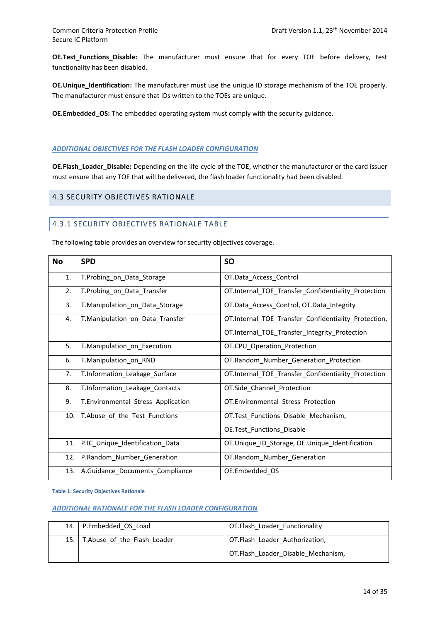**OE.Test\_Functions\_Disable:** The manufacturer must ensure that for every TOE before delivery, test functionality has been disabled.

**OE.Unique\_Identification:** The manufacturer must use the unique ID storage mechanism of the TOE properly. The manufacturer must ensure that IDs written to the TOEs are unique.

**OE.Embedded\_OS:** The embedded operating system must comply with the security guidance.

## *ADDITIONAL OBJECTIVES FOR THE FLASH LOADER CONFIGURATION*

**OE.Flash\_Loader\_Disable:** Depending on the life-cycle of the TOE, whether the manufacturer or the card issuer must ensure that any TOE that will be delivered, the flash loader functionality had been disabled.

# 4.3 SECURITY OBJECTIVES RATIONALE

# 4.3.1 SECURITY OBJECTIVES RATIONALE TABLE

The following table provides an overview for security objectives coverage.

| <b>No</b> | <b>SPD</b>                         | <b>SO</b>                                            |
|-----------|------------------------------------|------------------------------------------------------|
| 1.        | T.Probing_on_Data_Storage          | OT.Data_Access_Control                               |
| 2.        | T.Probing_on_Data_Transfer         | OT.Internal_TOE_Transfer_Confidentiality_Protection  |
| 3.        | T.Manipulation_on_Data_Storage     | OT.Data_Access_Control, OT.Data_Integrity            |
| 4.        | T.Manipulation_on_Data_Transfer    | OT.Internal_TOE_Transfer_Confidentiality_Protection, |
|           |                                    | OT.Internal_TOE_Transfer_Integrity_Protection        |
| 5.        | T.Manipulation_on_Execution        | OT.CPU_Operation_Protection                          |
| 6.        | T.Manipulation on RND              | OT.Random_Number_Generation_Protection               |
| 7.        | T.Information_Leakage_Surface      | OT.Internal_TOE_Transfer_Confidentiality_Protection  |
| 8.        | T.Information_Leakage_Contacts     | OT.Side_Channel_Protection                           |
| 9.        | T.Environmental_Stress_Application | OT.Environmental_Stress_Protection                   |
| 10.       | T.Abuse_of_the_Test_Functions      | OT.Test_Functions_Disable_Mechanism,                 |
|           |                                    | OE.Test_Functions_Disable                            |
| 11.       | P.IC_Unique_Identification_Data    | OT.Unique_ID_Storage, OE.Unique_Identification       |
| 12.       | P.Random_Number_Generation         | OT.Random_Number_Generation                          |
| 13.       | A.Guidance_Documents_Compliance    | OE.Embedded_OS                                       |

<span id="page-20-0"></span>**Table 1: Security Objectives Rationale**

### *ADDITIONAL RATIONALE FOR THE FLASH LOADER CONFIGURATION*

|      | 14. P.Embedded OS Load      | OT.Flash Loader Functionality      |
|------|-----------------------------|------------------------------------|
| 15.1 | T.Abuse of the Flash Loader | OT.Flash_Loader_Authorization,     |
|      |                             | OT.Flash Loader Disable Mechanism, |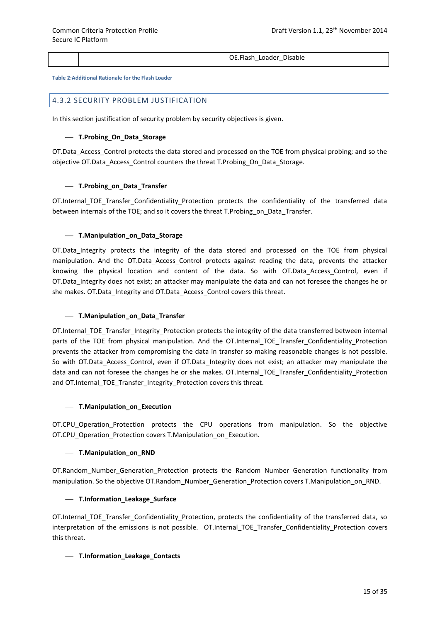OE.Flash\_Loader\_Disable

<span id="page-21-0"></span>**Table 2:Additional Rationale for the Flash Loader**

### 4.3.2 SECURITY PROBLEM JUSTIFICATION

In this section justification of security problem by security objectives is given.

#### **T.Probing\_On\_Data\_Storage**

OT.Data\_Access\_Control protects the data stored and processed on the TOE from physical probing; and so the objective OT.Data\_Access\_Control counters the threat T.Probing\_On\_Data\_Storage.

#### **T.Probing\_on\_Data\_Transfer**

OT.Internal\_TOE\_Transfer\_Confidentiality\_Protection protects the confidentiality of the transferred data between internals of the TOE; and so it covers the threat T.Probing\_on\_Data\_Transfer.

#### **T.Manipulation\_on\_Data\_Storage**

OT.Data Integrity protects the integrity of the data stored and processed on the TOE from physical manipulation. And the OT.Data Access Control protects against reading the data, prevents the attacker knowing the physical location and content of the data. So with OT.Data\_Access\_Control, even if OT.Data Integrity does not exist; an attacker may manipulate the data and can not foresee the changes he or she makes. OT.Data Integrity and OT.Data Access Control covers this threat.

#### **T.Manipulation\_on\_Data\_Transfer**

OT.Internal\_TOE\_Transfer\_Integrity\_Protection protects the integrity of the data transferred between internal parts of the TOE from physical manipulation. And the OT.Internal\_TOE\_Transfer\_Confidentiality\_Protection prevents the attacker from compromising the data in transfer so making reasonable changes is not possible. So with OT.Data Access Control, even if OT.Data Integrity does not exist; an attacker may manipulate the data and can not foresee the changes he or she makes. OT.Internal TOE\_Transfer\_Confidentiality\_Protection and OT.Internal\_TOE\_Transfer\_Integrity\_Protection covers this threat.

#### **T.Manipulation\_on\_Execution**

OT.CPU Operation Protection protects the CPU operations from manipulation. So the objective OT.CPU Operation Protection covers T.Manipulation on Execution.

#### **T.Manipulation\_on\_RND**

OT.Random Number Generation Protection protects the Random Number Generation functionality from manipulation. So the objective OT.Random\_Number\_Generation\_Protection covers T.Manipulation\_on\_RND.

#### **T.Information\_Leakage\_Surface**

OT.Internal\_TOE\_Transfer\_Confidentiality\_Protection, protects the confidentiality of the transferred data, so interpretation of the emissions is not possible. OT.Internal\_TOE\_Transfer\_Confidentiality\_Protection covers this threat.

#### **T.Information\_Leakage\_Contacts**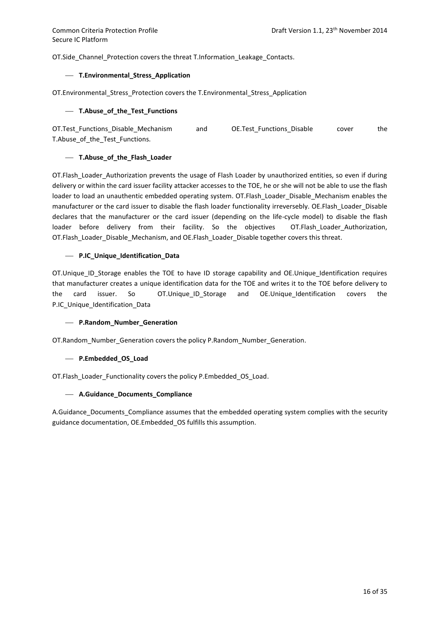OT.Side\_Channel\_Protection covers the threat T.Information\_Leakage\_Contacts.

#### **T.Environmental\_Stress\_Application**

OT.Environmental\_Stress\_Protection covers the T.Environmental\_Stress\_Application

#### **T.Abuse\_of\_the\_Test\_Functions**

OT.Test Functions Disable Mechanism and OE.Test Functions Disable cover the T.Abuse of the Test Functions.

#### **T.Abuse\_of\_the\_Flash\_Loader**

OT.Flash\_Loader\_Authorization prevents the usage of Flash Loader by unauthorized entities, so even if during delivery or within the card issuer facility attacker accesses to the TOE, he or she will not be able to use the flash loader to load an unauthentic embedded operating system. OT. Flash\_Loader\_Disable\_Mechanism enables the manufacturer or the card issuer to disable the flash loader functionality irreversebly. OE.Flash\_Loader\_Disable declares that the manufacturer or the card issuer (depending on the life-cycle model) to disable the flash loader before delivery from their facility. So the objectives OT.Flash\_Loader\_Authorization, OT.Flash\_Loader\_Disable\_Mechanism, and OE.Flash\_Loader\_Disable together covers this threat.

#### **P.IC\_Unique\_Identification\_Data**

OT.Unique ID Storage enables the TOE to have ID storage capability and OE.Unique Identification requires that manufacturer creates a unique identification data for the TOE and writes it to the TOE before delivery to the card issuer. So OT.Unique ID Storage and OE.Unique\_Identification covers the P.IC Unique Identification Data

### **P.Random\_Number\_Generation**

OT.Random\_Number\_Generation covers the policy P.Random\_Number\_Generation.

### **P.Embedded\_OS\_Load**

OT.Flash\_Loader\_Functionality covers the policy P.Embedded\_OS\_Load.

#### **A.Guidance\_Documents\_Compliance**

A.Guidance Documents Compliance assumes that the embedded operating system complies with the security guidance documentation, OE.Embedded\_OS fulfills this assumption.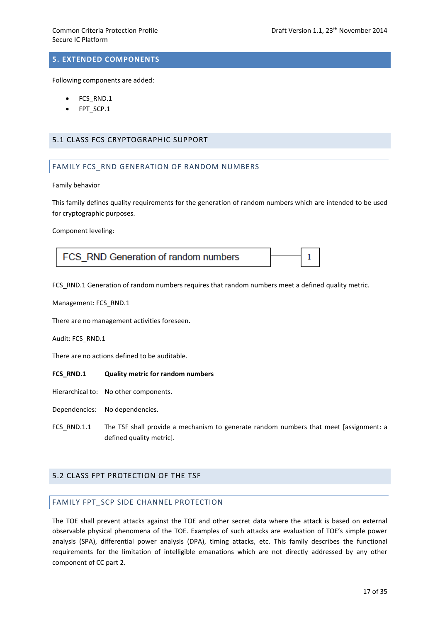1

# **5. EXTENDED COMPONENTS**

Following components are added:

- FCS\_RND.1
- FPT\_SCP.1

## 5.1 CLASS FCS CRYPTOGRAPHIC SUPPORT

# FAMILY FCS RND GENERATION OF RANDOM NUMBERS

Family behavior

This family defines quality requirements for the generation of random numbers which are intended to be used for cryptographic purposes.

Component leveling:

FCS RND Generation of random numbers

FCS\_RND.1 Generation of random numbers requires that random numbers meet a defined quality metric.

Management: FCS\_RND.1

There are no management activities foreseen.

Audit: FCS\_RND.1

There are no actions defined to be auditable.

**FCS\_RND.1 Quality metric for random numbers**

Hierarchical to: No other components.

Dependencies: No dependencies.

FCS\_RND.1.1 The TSF shall provide a mechanism to generate random numbers that meet [assignment: a defined quality metric].

### 5.2 CLASS FPT PROTECTION OF THE TSF

## FAMILY FPT\_SCP SIDE CHANNEL PROTECTION

The TOE shall prevent attacks against the TOE and other secret data where the attack is based on external observable physical phenomena of the TOE. Examples of such attacks are evaluation of TOE's simple power analysis (SPA), differential power analysis (DPA), timing attacks, etc. This family describes the functional requirements for the limitation of intelligible emanations which are not directly addressed by any other component of CC part 2.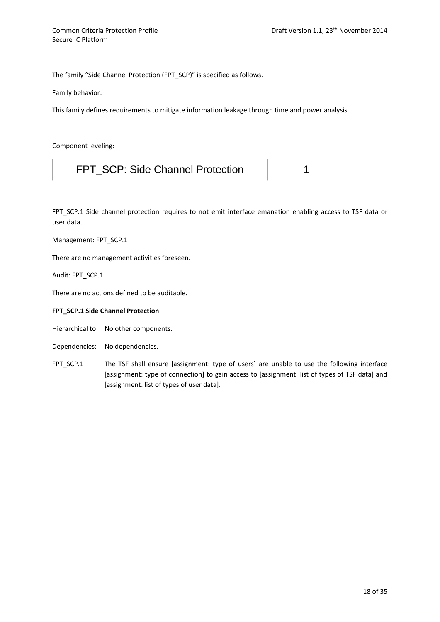The family "Side Channel Protection (FPT\_SCP)" is specified as follows.

Family behavior:

This family defines requirements to mitigate information leakage through time and power analysis.

Component leveling:

| FPT SCP: Side Channel Protection |  |  |
|----------------------------------|--|--|
|----------------------------------|--|--|

FPT SCP.1 Side channel protection requires to not emit interface emanation enabling access to TSF data or user data.

Management: FPT\_SCP.1

There are no management activities foreseen.

Audit: FPT\_SCP.1

There are no actions defined to be auditable.

#### **FPT\_SCP.1 Side Channel Protection**

Hierarchical to: No other components.

Dependencies: No dependencies.

FPT SCP.1 The TSF shall ensure [assignment: type of users] are unable to use the following interface [assignment: type of connection] to gain access to [assignment: list of types of TSF data] and [assignment: list of types of user data].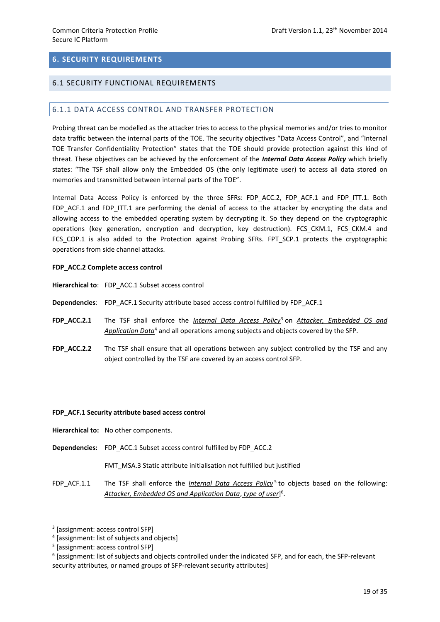# **6. SECURITY REQUIREMENTS**

## 6.1 SECURITY FUNCTIONAL REQUIREMENTS

### 6.1.1 DATA ACCESS CONTROL AND TRANSFER PROTECTION

Probing threat can be modelled as the attacker tries to access to the physical memories and/or tries to monitor data traffic between the internal parts of the TOE. The security objectives "Data Access Control", and "Internal TOE Transfer Confidentiality Protection" states that the TOE should provide protection against this kind of threat. These objectives can be achieved by the enforcement of the *Internal Data Access Policy* which briefly states: "The TSF shall allow only the Embedded OS (the only legitimate user) to access all data stored on memories and transmitted between internal parts of the TOE".

Internal Data Access Policy is enforced by the three SFRs: FDP\_ACC.2, FDP\_ACF.1 and FDP\_ITT.1. Both FDP\_ACF.1 and FDP\_ITT.1 are performing the denial of access to the attacker by encrypting the data and allowing access to the embedded operating system by decrypting it. So they depend on the cryptographic operations (key generation, encryption and decryption, key destruction). FCS\_CKM.1, FCS\_CKM.4 and FCS\_COP.1 is also added to the Protection against Probing SFRs. FPT\_SCP.1 protects the cryptographic operations from side channel attacks.

#### **FDP\_ACC.2 Complete access control**

**Hierarchical to**: FDP\_ACC.1 Subset access control

**Dependencies**: FDP\_ACF.1 Security attribute based access control fulfilled by FDP\_ACF.1

- **FDP\_ACC.2.1** The TSF shall enforce the *Internal Data Access Policy*<sup>3</sup> on *Attacker, Embedded OS and Application Data*<sup>4</sup> and all operations among subjects and objects covered by the SFP.
- **FDP\_ACC.2.2** The TSF shall ensure that all operations between any subject controlled by the TSF and any object controlled by the TSF are covered by an access control SFP.

#### **FDP\_ACF.1 Security attribute based access control**

- **Hierarchical to:** No other components.
- **Dependencies:** FDP\_ACC.1 Subset access control fulfilled by FDP\_ACC.2

FMT\_MSA.3 Static attribute initialisation not fulfilled but justified

FDP\_ACF.1.1 The TSF shall enforce the *Internal Data Access Policy*<sup>5</sup> to objects based on the following: *Attacker, Embedded OS and Application Data*, *type of user*] 6 .

<sup>3</sup> [assignment: access control SFP]

<sup>4</sup> [assignment: list of subjects and objects]

<sup>5</sup> [assignment: access control SFP]

<sup>6</sup> [assignment: list of subjects and objects controlled under the indicated SFP, and for each, the SFP-relevant security attributes, or named groups of SFP-relevant security attributes]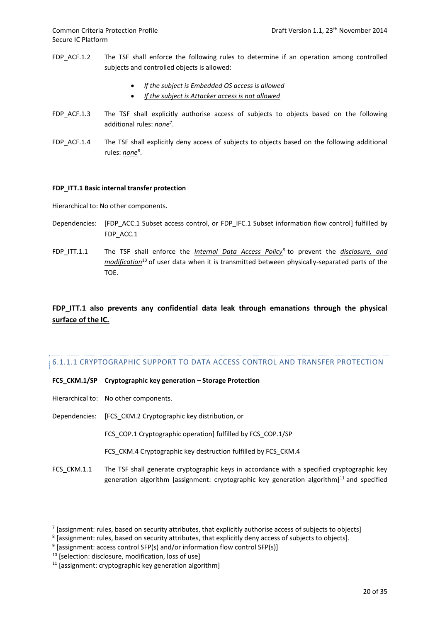- FDP\_ACF.1.2 The TSF shall enforce the following rules to determine if an operation among controlled subjects and controlled objects is allowed:
	- *If the subject is Embedded OS access is allowed*
	- *If the subject is Attacker access is not allowed*
- FDP ACF.1.3 The TSF shall explicitly authorise access of subjects to objects based on the following additional rules: *none*<sup>7</sup> .
- FDP\_ACF.1.4 The TSF shall explicitly deny access of subjects to objects based on the following additional rules: <u>none</u><sup>8</sup>.

#### **FDP\_ITT.1 Basic internal transfer protection**

Hierarchical to: No other components.

- Dependencies: [FDP\_ACC.1 Subset access control, or FDP\_IFC.1 Subset information flow control] fulfilled by FDP\_ACC.1
- FDP\_ITT.1.1 The TSF shall enforce the *Internal Data Access Policy*<sup>9</sup> to prevent the *disclosure, and modification*<sup>10</sup> of user data when it is transmitted between physically-separated parts of the TOE.

# FDP ITT.1 also prevents any confidential data leak through emanations through the physical **surface of the IC.**

# 6.1.1.1 CRYPTOGRAPHIC SUPPORT TO DATA ACCESS CONTROL AND TRANSFER PROTECTION

**FCS\_CKM.1/SP Cryptographic key generation – Storage Protection**

- Hierarchical to: No other components.
- Dependencies: [FCS\_CKM.2 Cryptographic key distribution, or

FCS\_COP.1 Cryptographic operation] fulfilled by FCS\_COP.1/SP

FCS\_CKM.4 Cryptographic key destruction fulfilled by FCS\_CKM.4

FCS\_CKM.1.1 The TSF shall generate cryptographic keys in accordance with a specified cryptographic key generation algorithm [assignment: cryptographic key generation algorithm] $<sup>11</sup>$  and specified</sup>

 $^7$  [assignment: rules, based on security attributes, that explicitly authorise access of subjects to objects]

 $^8$  [assignment: rules, based on security attributes, that explicitly deny access of subjects to objects].

 $9$  [assignment: access control SFP(s) and/or information flow control SFP(s)]

<sup>&</sup>lt;sup>10</sup> [selection: disclosure, modification, loss of use]

<sup>&</sup>lt;sup>11</sup> [assignment: cryptographic key generation algorithm]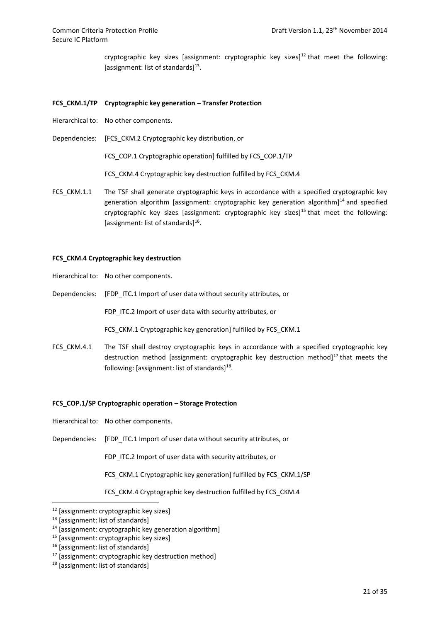cryptographic key sizes [assignment: cryptographic key sizes]<sup>12</sup> that meet the following: [assignment: list of standards]<sup>13</sup>.

#### **FCS\_CKM.1/TP Cryptographic key generation – Transfer Protection**

- Hierarchical to: No other components.
- Dependencies: [FCS\_CKM.2 Cryptographic key distribution, or

FCS COP.1 Cryptographic operation] fulfilled by FCS COP.1/TP

FCS\_CKM.4 Cryptographic key destruction fulfilled by FCS\_CKM.4

FCS CKM.1.1 The TSF shall generate cryptographic keys in accordance with a specified cryptographic key generation algorithm [assignment: cryptographic key generation algorithm]<sup>14</sup> and specified cryptographic key sizes [assignment: cryptographic key sizes]<sup>15</sup> that meet the following: [assignment: list of standards]<sup>16</sup>.

#### **FCS\_CKM.4 Cryptographic key destruction**

Hierarchical to: No other components.

Dependencies: [FDP ITC.1 Import of user data without security attributes, or

FDP ITC.2 Import of user data with security attributes, or

FCS\_CKM.1 Cryptographic key generation] fulfilled by FCS\_CKM.1

FCS CKM.4.1 The TSF shall destroy cryptographic keys in accordance with a specified cryptographic key destruction method [assignment: cryptographic key destruction method] $17$  that meets the following: [assignment: list of standards] $^{18}$ .

#### **FCS\_COP.1/SP Cryptographic operation – Storage Protection**

- Hierarchical to: No other components.
- Dependencies: [FDP ITC.1 Import of user data without security attributes, or

FDP ITC.2 Import of user data with security attributes, or

FCS\_CKM.1 Cryptographic key generation] fulfilled by FCS\_CKM.1/SP

FCS\_CKM.4 Cryptographic key destruction fulfilled by FCS\_CKM.4

<sup>12</sup> [assignment: cryptographic key sizes]

<sup>13</sup> [assignment: list of standards]

 $14$  [assignment: cryptographic key generation algorithm]

<sup>15</sup> [assignment: cryptographic key sizes]

<sup>&</sup>lt;sup>16</sup> [assignment: list of standards]

<sup>17</sup> [assignment: cryptographic key destruction method]

<sup>18</sup> [assignment: list of standards]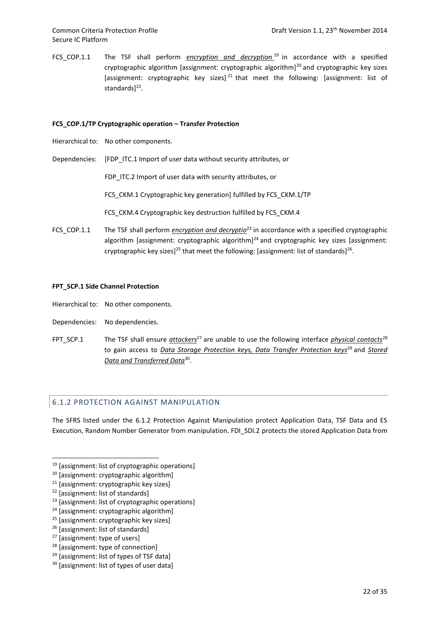FCS\_COP.1.1 The TSF shall perform *encryption and decryption* <sup>19</sup> in accordance with a specified cryptographic algorithm [assignment: cryptographic algorithm] $^{20}$  and cryptographic key sizes [assignment: cryptographic key sizes]<sup>21</sup> that meet the following: [assignment: list of standards]<sup>22</sup>.

#### **FCS\_COP.1/TP Cryptographic operation – Transfer Protection**

- Hierarchical to: No other components.
- Dependencies: [FDP ITC.1 Import of user data without security attributes, or

FDP ITC.2 Import of user data with security attributes, or

FCS CKM.1 Cryptographic key generation] fulfilled by FCS CKM.1/TP

FCS\_CKM.4 Cryptographic key destruction fulfilled by FCS\_CKM.4

FCS\_COP.1.1 The TSF shall perform *encryption and decryptio*<sup>23</sup> in accordance with a specified cryptographic algorithm [assignment: cryptographic algorithm] $^{24}$  and cryptographic key sizes [assignment: cryptographic key sizes]<sup>25</sup> that meet the following: [assignment: list of standards]<sup>26</sup>.

#### **FPT\_SCP.1 Side Channel Protection**

- Hierarchical to: No other components.
- Dependencies: No dependencies.
- FPT\_SCP.1 The TSF shall ensure *attackers*<sup>27</sup> are unable to use the following interface *physical contacts*<sup>28</sup> to gain access to *Data Storage Protection keys, Data Transfer Protection keys*<sup>29</sup> and *Stored Data and Transferred Data*<sup>30</sup> .

# 6.1.2 PROTECTION AGAINST MANIPULATION

The SFRS listed under the 6.1.2 Protection Against Manipulation protect Application Data, TSF Data and ES Execution, Random Number Generator from manipulation. FDI\_SDI.2 protects the stored Application Data from

- <sup>28</sup> [assignment: type of connection]
- <sup>29</sup> [assignment: list of types of TSF data]

<sup>19</sup> [assignment: list of cryptographic operations]

<sup>20</sup> [assignment: cryptographic algorithm]

<sup>21</sup> [assignment: cryptographic key sizes]

<sup>22</sup> [assignment: list of standards]

<sup>&</sup>lt;sup>23</sup> [assignment: list of cryptographic operations]

<sup>24</sup> [assignment: cryptographic algorithm]

<sup>25</sup> [assignment: cryptographic key sizes]

<sup>&</sup>lt;sup>26</sup> [assignment: list of standards]

<sup>27</sup> [assignment: type of users]

<sup>&</sup>lt;sup>30</sup> [assignment: list of types of user data]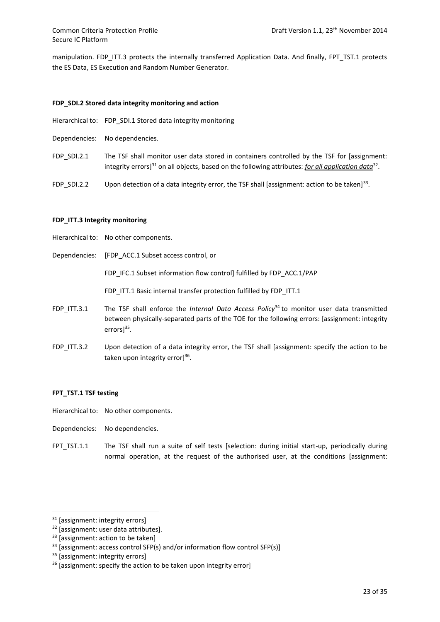manipulation. FDP\_ITT.3 protects the internally transferred Application Data. And finally, FPT\_TST.1 protects the ES Data, ES Execution and Random Number Generator.

# **FDP\_SDI.2 Stored data integrity monitoring and action**

- Hierarchical to: FDP\_SDI.1 Stored data integrity monitoring
- Dependencies: No dependencies.
- FDP\_SDI.2.1 The TSF shall monitor user data stored in containers controlled by the TSF for [assignment: integrity errors]<sup>31</sup> on all objects, based on the following attributes: <u>for all application data</u><sup>32</sup>.
- FDP\_SDI.2.2 Upon detection of a data integrity error, the TSF shall [assignment: action to be taken]<sup>33</sup>.

#### **FDP\_ITT.3 Integrity monitoring**

- Hierarchical to: No other components.
- Dependencies: [FDP\_ACC.1 Subset access control, or

FDP\_IFC.1 Subset information flow control] fulfilled by FDP\_ACC.1/PAP

FDP\_ITT.1 Basic internal transfer protection fulfilled by FDP\_ITT.1

- FDP\_ITT.3.1 The TSF shall enforce the *Internal Data Access Policy*<sup>34</sup> to monitor user data transmitted between physically-separated parts of the TOE for the following errors: [assignment: integrity errors]<sup>35</sup>.
- FDP ITT.3.2 Upon detection of a data integrity error, the TSF shall [assignment: specify the action to be taken upon integrity error]<sup>36</sup>.

### **FPT\_TST.1 TSF testing**

- Hierarchical to: No other components.
- Dependencies: No dependencies.
- FPT\_TST.1.1 The TSF shall run a suite of self tests [selection: during initial start-up, periodically during normal operation, at the request of the authorised user, at the conditions [assignment:

<sup>&</sup>lt;sup>31</sup> [assignment: integrity errors]

<sup>&</sup>lt;sup>32</sup> [assignment: user data attributes].

<sup>&</sup>lt;sup>33</sup> [assignment: action to be taken]

<sup>34</sup> [assignment: access control SFP(s) and/or information flow control SFP(s)]

<sup>&</sup>lt;sup>35</sup> [assignment: integrity errors]

<sup>&</sup>lt;sup>36</sup> [assignment: specify the action to be taken upon integrity error]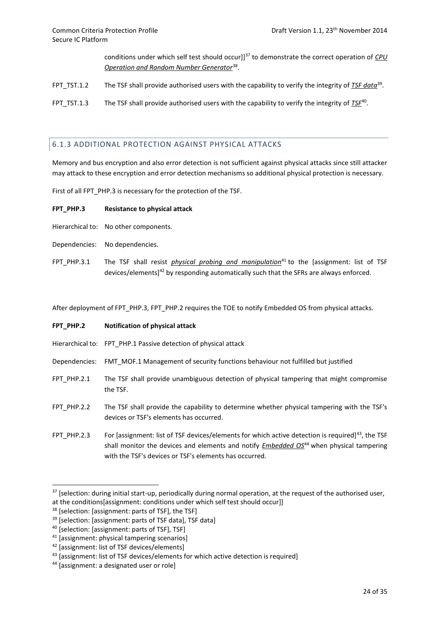conditions under which self test should occur]]<sup>37</sup> to demonstrate the correct operation of *CPU Operation and Random Number Generator*<sup>38</sup> .

FPT\_TST.1.2 The TSF shall provide authorised users with the capability to verify the integrity of *TSF data*<sup>39</sup>.

FPT\_TST.1.3 The TSF shall provide authorised users with the capability to verify the integrity of *TSE*<sup>40</sup>.

# 6.1.3 ADDITIONAL PROTECTION AGAINST PHYSICAL ATTACKS

Memory and bus encryption and also error detection is not sufficient against physical attacks since still attacker may attack to these encryption and error detection mechanisms so additional physical protection is necessary.

First of all FPT\_PHP.3 is necessary for the protection of the TSF.

#### **FPT\_PHP.3 Resistance to physical attack**

- Hierarchical to: No other components.
- Dependencies: No dependencies.
- FPT\_PHP.3.1 The TSF shall resist *physical probing and manipulation*<sup>41</sup> to the [assignment: list of TSF devices/elements]<sup>42</sup> by responding automatically such that the SFRs are always enforced.

After deployment of FPT\_PHP.3, FPT\_PHP.2 requires the TOE to notify Embedded OS from physical attacks.

#### **FPT\_PHP.2 Notification of physical attack**

- Hierarchical to: FPT\_PHP.1 Passive detection of physical attack
- Dependencies: FMT\_MOF.1 Management of security functions behaviour not fulfilled but justified
- FPT PHP.2.1 The TSF shall provide unambiguous detection of physical tampering that might compromise the TSF.
- FPT\_PHP.2.2 The TSF shall provide the capability to determine whether physical tampering with the TSF's devices or TSF's elements has occurred.
- FPT PHP.2.3 For [assignment: list of TSF devices/elements for which active detection is required]<sup>43</sup>, the TSF shall monitor the devices and elements and notify *Embedded OS*<sup>44</sup> when physical tampering with the TSF's devices or TSF's elements has occurred.

 $37$  [selection: during initial start-up, periodically during normal operation, at the request of the authorised user, at the conditions[assignment: conditions under which self test should occur]]

<sup>&</sup>lt;sup>38</sup> [selection: [assignment: parts of TSF], the TSF]

<sup>39</sup> [selection: [assignment: parts of TSF data], TSF data]

<sup>40</sup> [selection: [assignment: parts of TSF], TSF]

<sup>41</sup> [assignment: physical tampering scenarios]

<sup>42</sup> [assignment: list of TSF devices/elements]

<sup>43</sup> [assignment: list of TSF devices/elements for which active detection is required]

<sup>44</sup> [assignment: a designated user or role]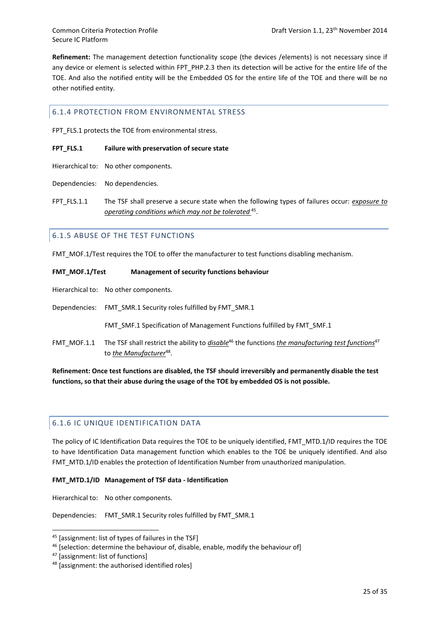**Refinement:** The management detection functionality scope (the devices /elements) is not necessary since if any device or element is selected within FPT\_PHP.2.3 then its detection will be active for the entire life of the TOE. And also the notified entity will be the Embedded OS for the entire life of the TOE and there will be no other notified entity.

# 6.1.4 PROTECTION FROM ENVIRONMENTAL STRESS

FPT\_FLS.1 protects the TOE from environmental stress.

#### **FPT\_FLS.1 Failure with preservation of secure state**

Hierarchical to: No other components.

Dependencies: No dependencies.

FPT FLS.1.1 The TSF shall preserve a secure state when the following types of failures occur: *exposure to operating conditions which may not be tolerated* <sup>45</sup> .

# 6.1.5 ABUSE OF THE TEST FUNCTIONS

FMT\_MOF.1/Test requires the TOE to offer the manufacturer to test functions disabling mechanism.

| FMT MOF.1/Test | Management of security functions behaviour                                                                                                                             |
|----------------|------------------------------------------------------------------------------------------------------------------------------------------------------------------------|
|                | Hierarchical to: No other components.                                                                                                                                  |
|                | Dependencies: FMT SMR.1 Security roles fulfilled by FMT SMR.1                                                                                                          |
|                | <b>FMT SMF.1 Specification of Management Functions fulfilled by FMT SMF.1</b>                                                                                          |
| FMT MOF.1.1    | The TSF shall restrict the ability to <i>disable</i> <sup>46</sup> the functions the manufacturing test functions <sup>47</sup><br>to the Manufacturer <sup>48</sup> . |

**Refinement: Once test functions are disabled, the TSF should irreversibly and permanently disable the test functions, so that their abuse during the usage of the TOE by embedded OS is not possible.**

# 6.1.6 IC UNIQUE IDENTIFICATION DATA

The policy of IC Identification Data requires the TOE to be uniquely identified, FMT\_MTD.1/ID requires the TOE to have Identification Data management function which enables to the TOE be uniquely identified. And also FMT\_MTD.1/ID enables the protection of Identification Number from unauthorized manipulation.

#### **FMT\_MTD.1/ID Management of TSF data - Identification**

Hierarchical to: No other components.

Dependencies: FMT\_SMR.1 Security roles fulfilled by FMT\_SMR.1

<sup>45</sup> [assignment: list of types of failures in the TSF]

<sup>&</sup>lt;sup>46</sup> [selection: determine the behaviour of, disable, enable, modify the behaviour of]

<sup>47</sup> [assignment: list of functions]

<sup>48 [</sup>assignment: the authorised identified roles]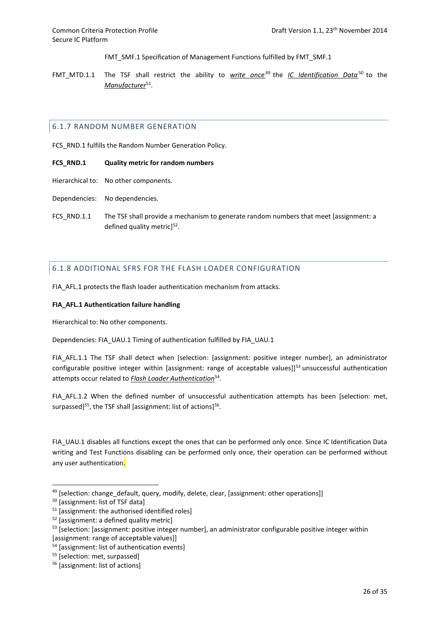FMT\_SMF.1 Specification of Management Functions fulfilled by FMT\_SMF.1

FMT\_MTD.1.1 The TSF shall restrict the ability to *write once* <sup>49</sup> the *IC Identification Data* <sup>50</sup> to the *Manufacturer*<sup>51</sup> .

# 6.1.7 RANDOM NUMBER GENERATION

FCS RND.1 fulfills the Random Number Generation Policy.

#### **FCS\_RND.1 Quality metric for random numbers**

- Hierarchical to: No other components.
- Dependencies: No dependencies.
- FCS RND.1.1 The TSF shall provide a mechanism to generate random numbers that meet [assignment: a defined quality metric]<sup>52</sup>.

# 6.1.8 ADDITIONAL SFRS FOR THE FLASH LOADER CONFIGURATION

FIA\_AFL.1 protects the flash loader authentication mechanism from attacks.

#### **FIA\_AFL.1 Authentication failure handling**

Hierarchical to: No other components.

Dependencies: FIA\_UAU.1 Timing of authentication fulfilled by FIA\_UAU.1

FIA AFL.1.1 The TSF shall detect when [selection: [assignment: positive integer number], an administrator configurable positive integer within [assignment: range of acceptable values]]<sup>53</sup> unsuccessful authentication attempts occur related to *Flash Loader Authentication*<sup>54</sup> .

FIA\_AFL.1.2 When the defined number of unsuccessful authentication attempts has been [selection: met, surpassed]<sup>55</sup>, the TSF shall [assignment: list of actions]<sup>56</sup>.

FIA\_UAU.1 disables all functions except the ones that can be performed only once. Since IC Identification Data writing and Test Functions disabling can be performed only once, their operation can be performed without any user authentication.

<sup>49 [</sup>selection: change\_default, query, modify, delete, clear, [assignment: other operations]]

<sup>50</sup> [assignment: list of TSF data]

<sup>51</sup> [assignment: the authorised identified roles]

<sup>52</sup> [assignment: a defined quality metric]

<sup>&</sup>lt;sup>53</sup> [selection: [assignment: positive integer number], an administrator configurable positive integer within [assignment: range of acceptable values]]

<sup>54</sup> [assignment: list of authentication events]

<sup>&</sup>lt;sup>55</sup> [selection: met, surpassed]

<sup>56</sup> [assignment: list of actions]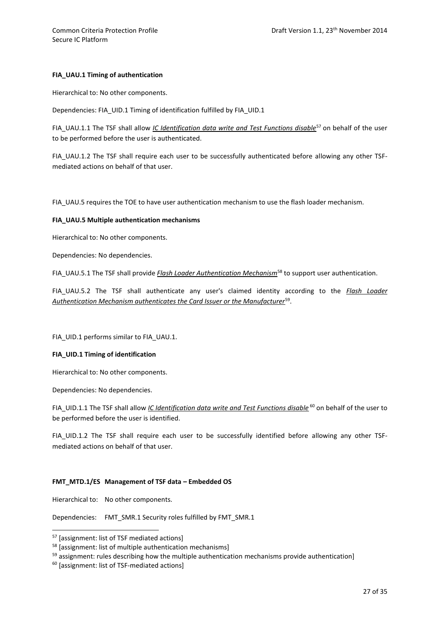## **FIA\_UAU.1 Timing of authentication**

Hierarchical to: No other components.

Dependencies: FIA\_UID.1 Timing of identification fulfilled by FIA\_UID.1

FIA\_UAU.1.1 The TSF shall allow *IC Identification data write and Test Functions disable*<sup>57</sup> on behalf of the user to be performed before the user is authenticated.

FIA\_UAU.1.2 The TSF shall require each user to be successfully authenticated before allowing any other TSFmediated actions on behalf of that user.

FIA UAU.5 requires the TOE to have user authentication mechanism to use the flash loader mechanism.

#### **FIA\_UAU.5 Multiple authentication mechanisms**

Hierarchical to: No other components.

Dependencies: No dependencies.

FIA\_UAU.5.1 The TSF shall provide *Flash Loader Authentication Mechanism*<sup>58</sup> to support user authentication.

FIA\_UAU.5.2 The TSF shall authenticate any user's claimed identity according to the *Flash Loader Authentication Mechanism authenticates the Card Issuer or the Manufacturer*<sup>59</sup> .

FIA\_UID.1 performs similar to FIA\_UAU.1.

### **FIA\_UID.1 Timing of identification**

Hierarchical to: No other components.

Dependencies: No dependencies.

FIA\_UID.1.1 The TSF shall allow *IC Identification data write and Test Functions disable*<sup>60</sup> on behalf of the user to be performed before the user is identified.

FIA UID.1.2 The TSF shall require each user to be successfully identified before allowing any other TSFmediated actions on behalf of that user.

### **FMT\_MTD.1/ES Management of TSF data – Embedded OS**

Hierarchical to: No other components.

**.** 

Dependencies: FMT\_SMR.1 Security roles fulfilled by FMT\_SMR.1

<sup>57</sup> [assignment: list of TSF mediated actions]

<sup>&</sup>lt;sup>58</sup> [assignment: list of multiple authentication mechanisms]

 $59$  assignment: rules describing how the multiple authentication mechanisms provide authentication]

<sup>60</sup> [assignment: list of TSF-mediated actions]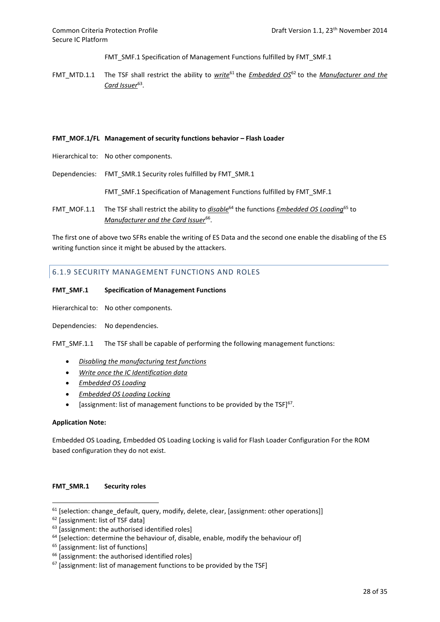FMT\_SMF.1 Specification of Management Functions fulfilled by FMT\_SMF.1

FMT\_MTD.1.1 The TSF shall restrict the ability to *write*<sup>61</sup> the *Embedded OS*<sup>62</sup> to the *Manufacturer and the Card Issuer*<sup>63</sup> .

#### **FMT\_MOF.1/FL Management of security functions behavior – Flash Loader**

- Hierarchical to: No other components.
- Dependencies: FMT\_SMR.1 Security roles fulfilled by FMT\_SMR.1

FMT\_SMF.1 Specification of Management Functions fulfilled by FMT\_SMF.1

FMT\_MOF.1.1 The TSF shall restrict the ability to *disable*<sup>64</sup> the functions *Embedded OS Loading*<sup>65</sup> to Manufacturer and the Card Issuer<sup>66</sup>.

The first one of above two SFRs enable the writing of ES Data and the second one enable the disabling of the ES writing function since it might be abused by the attackers.

# 6.1.9 SECURITY MANAGEMENT FUNCTIONS AND ROLES

#### **FMT\_SMF.1 Specification of Management Functions**

Hierarchical to: No other components.

Dependencies: No dependencies.

FMT\_SMF.1.1 The TSF shall be capable of performing the following management functions:

- *Disabling the manufacturing test functions*
- *Write once the IC Identification data*
- *Embedded OS Loading*
- *Embedded OS Loading Locking*
- [assignment: list of management functions to be provided by the TSF] $67$ .

#### **Application Note:**

1

Embedded OS Loading, Embedded OS Loading Locking is valid for Flash Loader Configuration For the ROM based configuration they do not exist.

#### **FMT\_SMR.1 Security roles**

 $61$  [selection: change default, query, modify, delete, clear, [assignment: other operations]]

<sup>62</sup> [assignment: list of TSF data]

 $63$  [assignment: the authorised identified roles]

 $64$  [selection: determine the behaviour of, disable, enable, modify the behaviour of]

<sup>&</sup>lt;sup>65</sup> [assignment: list of functions]

<sup>&</sup>lt;sup>66</sup> [assignment: the authorised identified roles]

 $67$  [assignment: list of management functions to be provided by the TSF]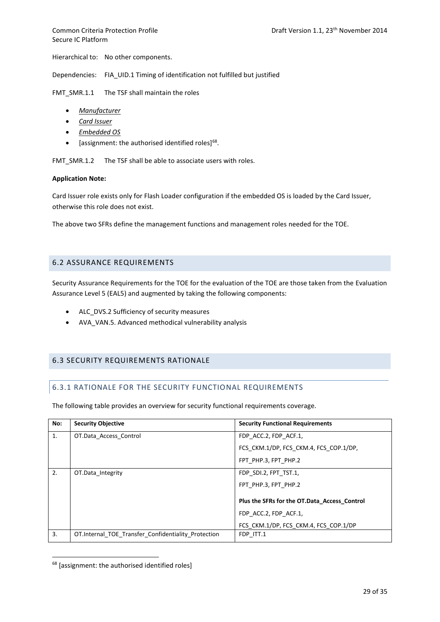Hierarchical to: No other components.

Dependencies: FIA\_UID.1 Timing of identification not fulfilled but justified

FMT\_SMR.1.1 The TSF shall maintain the roles

- *Manufacturer*
- *Card Issuer*
- *Embedded OS*
- $\bullet$  [assignment: the authorised identified roles]<sup>68</sup>.

FMT\_SMR.1.2 The TSF shall be able to associate users with roles.

#### **Application Note:**

Card Issuer role exists only for Flash Loader configuration if the embedded OS is loaded by the Card Issuer, otherwise this role does not exist.

The above two SFRs define the management functions and management roles needed for the TOE.

#### 6.2 ASSURANCE REQUIREMENTS

Security Assurance Requirements for the TOE for the evaluation of the TOE are those taken from the Evaluation Assurance Level 5 (EAL5) and augmented by taking the following components:

- ALC DVS.2 Sufficiency of security measures
- AVA\_VAN.5. Advanced methodical vulnerability analysis

# 6.3 SECURITY REQUIREMENTS RATIONALE

#### 6.3.1 RATIONALE FOR THE SECURITY FUNCTIONAL REQUIREMENTS

The following table provides an overview for security functional requirements coverage.

| No: | <b>Security Objective</b>                            | <b>Security Functional Requirements</b>      |
|-----|------------------------------------------------------|----------------------------------------------|
| 1.  | OT.Data Access Control                               | FDP ACC.2, FDP ACF.1,                        |
|     |                                                      | FCS CKM.1/DP, FCS CKM.4, FCS COP.1/DP,       |
|     |                                                      | FPT PHP.3, FPT PHP.2                         |
| 2.  | OT.Data Integrity                                    | FDP SDI.2, FPT TST.1,                        |
|     |                                                      | FPT PHP.3, FPT PHP.2                         |
|     |                                                      | Plus the SFRs for the OT.Data Access Control |
|     |                                                      | FDP ACC.2, FDP ACF.1,                        |
|     |                                                      | FCS CKM.1/DP, FCS CKM.4, FCS COP.1/DP        |
| 3.  | OT. Internal TOE Transfer Confidentiality Protection | FDP ITT.1                                    |

<sup>68</sup> [assignment: the authorised identified roles]

<u>.</u>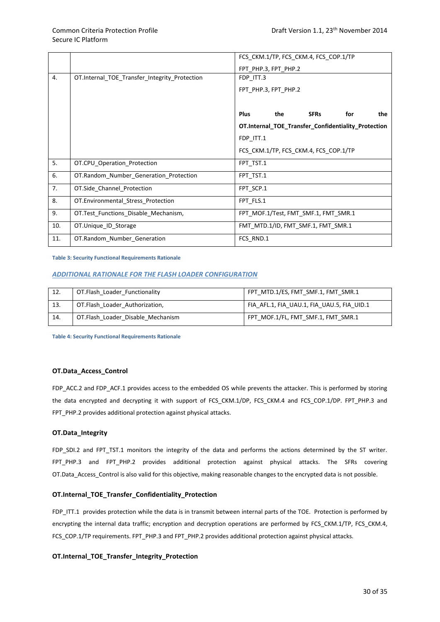|     |                                               | FCS_CKM.1/TP, FCS_CKM.4, FCS_COP.1/TP               |
|-----|-----------------------------------------------|-----------------------------------------------------|
|     |                                               | FPT PHP.3, FPT PHP.2                                |
| 4.  | OT.Internal_TOE_Transfer_Integrity_Protection | FDP_ITT.3                                           |
|     |                                               | FPT PHP.3, FPT PHP.2                                |
|     |                                               |                                                     |
|     |                                               | <b>Plus</b><br>the<br><b>SFRs</b><br>for<br>the     |
|     |                                               | OT.Internal_TOE_Transfer_Confidentiality_Protection |
|     |                                               | FDP ITT.1                                           |
|     |                                               | FCS_CKM.1/TP, FCS_CKM.4, FCS_COP.1/TP               |
| 5.  | OT.CPU Operation Protection                   | FPT TST.1                                           |
| 6.  | OT.Random Number Generation Protection        | FPT TST.1                                           |
| 7.  | OT.Side_Channel_Protection                    | FPT_SCP.1                                           |
| 8.  | OT.Environmental_Stress_Protection            | FPT FLS.1                                           |
| 9.  | OT. Test Functions Disable Mechanism,         | FPT MOF.1/Test, FMT SMF.1, FMT SMR.1                |
| 10. | OT.Unique ID Storage                          | FMT_MTD.1/ID, FMT_SMF.1, FMT_SMR.1                  |
| 11. | OT.Random_Number_Generation                   | FCS_RND.1                                           |

<span id="page-36-0"></span>**Table 3: Security Functional Requirements Rationale**

#### *ADDITIONAL RATIONALE FOR THE FLASH LOADER CONFIGURATION*

| 12. | OT.Flash Loader Functionality     | FPT MTD.1/ES, FMT SMF.1, FMT SMR.1         |
|-----|-----------------------------------|--------------------------------------------|
| 13. | OT.Flash Loader Authorization,    | FIA AFL.1, FIA UAU.1, FIA UAU.5, FIA UID.1 |
| 14. | OT.Flash Loader Disable Mechanism | FPT MOF.1/FL, FMT_SMF.1, FMT_SMR.1         |

<span id="page-36-1"></span>**Table 4: Security Functional Requirements Rationale**

#### **OT.Data\_Access\_Control**

FDP\_ACC.2 and FDP\_ACF.1 provides access to the embedded OS while prevents the attacker. This is performed by storing the data encrypted and decrypting it with support of FCS CKM.1/DP, FCS CKM.4 and FCS COP.1/DP. FPT PHP.3 and FPT\_PHP.2 provides additional protection against physical attacks.

#### **OT.Data\_Integrity**

FDP\_SDI.2 and FPT\_TST.1 monitors the integrity of the data and performs the actions determined by the ST writer. FPT\_PHP.3 and FPT\_PHP.2 provides additional protection against physical attacks. The SFRs covering OT.Data\_Access\_Control is also valid for this objective, making reasonable changes to the encrypted data is not possible.

#### **OT.Internal\_TOE\_Transfer\_Confidentiality\_Protection**

FDP\_ITT.1 provides protection while the data is in transmit between internal parts of the TOE. Protection is performed by encrypting the internal data traffic; encryption and decryption operations are performed by FCS\_CKM.1/TP, FCS\_CKM.4, FCS\_COP.1/TP requirements. FPT\_PHP.3 and FPT\_PHP.2 provides additional protection against physical attacks.

#### **OT.Internal\_TOE\_Transfer\_Integrity\_Protection**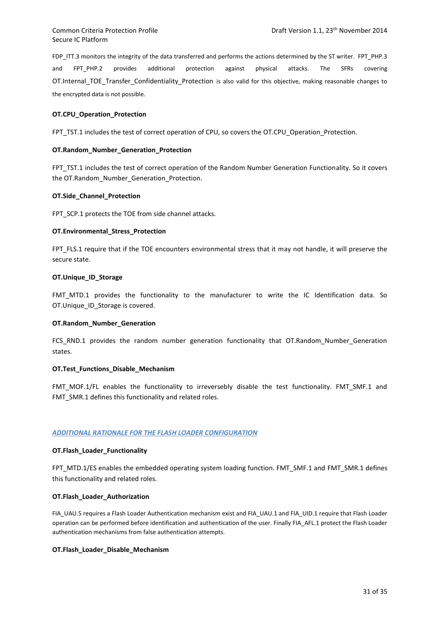FDP ITT.3 monitors the integrity of the data transferred and performs the actions determined by the ST writer. FPT PHP.3 and FPT\_PHP.2 provides additional protection against physical attacks. The SFRs covering OT.Internal TOE Transfer Confidentiality Protection is also valid for this objective, making reasonable changes to the encrypted data is not possible.

#### **OT.CPU\_Operation\_Protection**

FPT\_TST.1 includes the test of correct operation of CPU, so covers the OT.CPU\_Operation\_Protection.

#### **OT.Random\_Number\_Generation\_Protection**

FPT\_TST.1 includes the test of correct operation of the Random Number Generation Functionality. So it covers the OT.Random\_Number\_Generation\_Protection.

#### **OT.Side\_Channel\_Protection**

FPT\_SCP.1 protects the TOE from side channel attacks.

#### **OT.Environmental\_Stress\_Protection**

FPT\_FLS.1 require that if the TOE encounters environmental stress that it may not handle, it will preserve the secure state.

#### **OT.Unique\_ID\_Storage**

FMT MTD.1 provides the functionality to the manufacturer to write the IC Identification data. So OT.Unique ID Storage is covered.

#### **OT.Random\_Number\_Generation**

FCS\_RND.1 provides the random number generation functionality that OT.Random\_Number\_Generation states.

#### **OT.Test\_Functions\_Disable\_Mechanism**

FMT\_MOF.1/FL enables the functionality to irreversebly disable the test functionality. FMT\_SMF.1 and FMT\_SMR.1 defines this functionality and related roles.

#### *ADDITIONAL RATIONALE FOR THE FLASH LOADER CONFIGURATION*

#### **OT.Flash\_Loader\_Functionality**

FPT\_MTD.1/ES enables the embedded operating system loading function. FMT\_SMF.1 and FMT\_SMR.1 defines this functionality and related roles.

### **OT.Flash\_Loader\_Authorization**

FIA\_UAU.5 requires a Flash Loader Authentication mechanism exist and FIA\_UAU.1 and FIA\_UID.1 require that Flash Loader operation can be performed before identification and authentication of the user. Finally FIA\_AFL.1 protect the Flash Loader authentication mechanisms from false authentication attempts.

#### **OT.Flash\_Loader\_Disable\_Mechanism**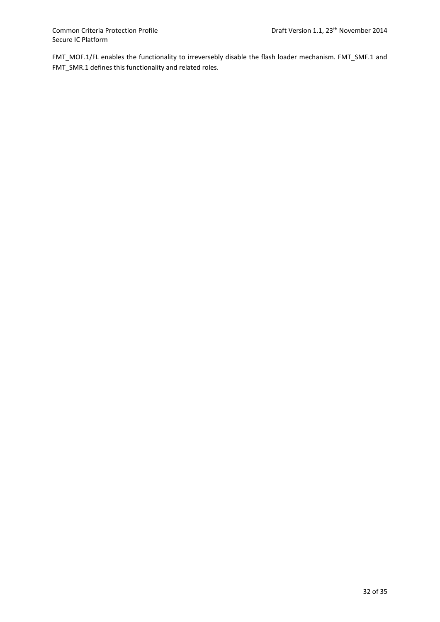FMT\_MOF.1/FL enables the functionality to irreversebly disable the flash loader mechanism. FMT\_SMF.1 and FMT\_SMR.1 defines this functionality and related roles.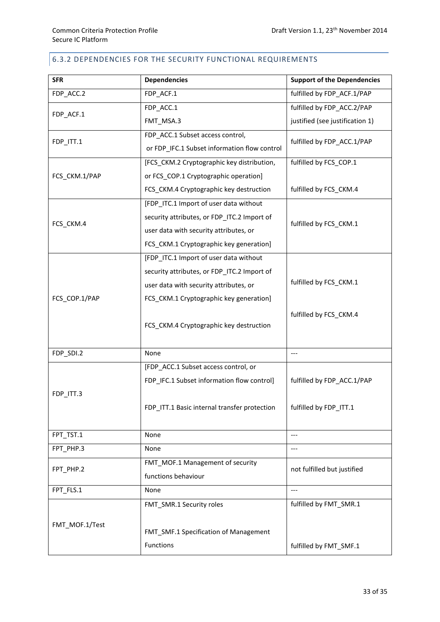# 6.3.2 DEPENDENCIES FOR THE SECURITY FUNCTIONAL REQUIREMENTS

| <b>SFR</b>     | <b>Dependencies</b>                          | <b>Support of the Dependencies</b> |  |
|----------------|----------------------------------------------|------------------------------------|--|
| FDP ACC.2      | FDP_ACF.1                                    | fulfilled by FDP ACF.1/PAP         |  |
|                | FDP ACC.1                                    | fulfilled by FDP ACC.2/PAP         |  |
| FDP_ACF.1      | FMT_MSA.3                                    | justified (see justification 1)    |  |
| FDP_ITT.1      | FDP_ACC.1 Subset access control,             | fulfilled by FDP_ACC.1/PAP         |  |
|                | or FDP_IFC.1 Subset information flow control |                                    |  |
|                | [FCS CKM.2 Cryptographic key distribution,   | fulfilled by FCS_COP.1             |  |
| FCS_CKM.1/PAP  | or FCS_COP.1 Cryptographic operation]        |                                    |  |
|                | FCS_CKM.4 Cryptographic key destruction      | fulfilled by FCS_CKM.4             |  |
|                | [FDP_ITC.1 Import of user data without       |                                    |  |
| FCS_CKM.4      | security attributes, or FDP_ITC.2 Import of  | fulfilled by FCS_CKM.1             |  |
|                | user data with security attributes, or       |                                    |  |
|                | FCS_CKM.1 Cryptographic key generation]      |                                    |  |
|                | [FDP ITC.1 Import of user data without       |                                    |  |
|                | security attributes, or FDP_ITC.2 Import of  |                                    |  |
|                | user data with security attributes, or       | fulfilled by FCS CKM.1             |  |
| FCS_COP.1/PAP  | FCS_CKM.1 Cryptographic key generation]      |                                    |  |
|                | FCS_CKM.4 Cryptographic key destruction      | fulfilled by FCS_CKM.4             |  |
| FDP_SDI.2      | None                                         | ---                                |  |
|                | [FDP_ACC.1 Subset access control, or         |                                    |  |
|                | FDP_IFC.1 Subset information flow control]   | fulfilled by FDP_ACC.1/PAP         |  |
| FDP_ITT.3      |                                              |                                    |  |
|                | FDP ITT.1 Basic internal transfer protection | fulfilled by FDP_ITT.1             |  |
|                |                                              |                                    |  |
| FPT_TST.1      | None                                         | ---                                |  |
| FPT PHP.3      | None                                         |                                    |  |
| FPT_PHP.2      | FMT MOF.1 Management of security             |                                    |  |
|                | functions behaviour                          | not fulfilled but justified        |  |
| FPT_FLS.1      | None                                         | ---                                |  |
|                | FMT_SMR.1 Security roles                     | fulfilled by FMT_SMR.1             |  |
|                |                                              |                                    |  |
| FMT_MOF.1/Test | FMT_SMF.1 Specification of Management        |                                    |  |
|                | Functions                                    | fulfilled by FMT_SMF.1             |  |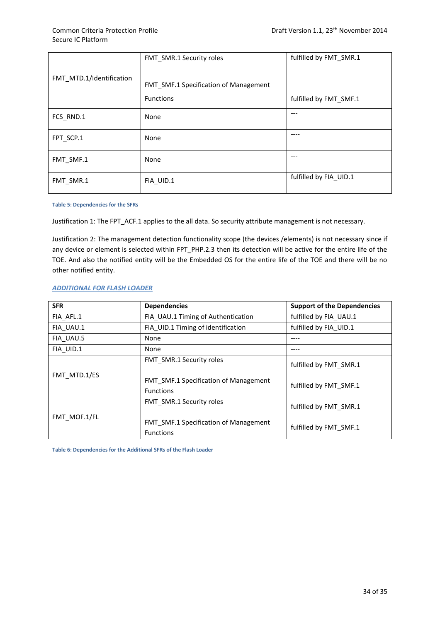|                          | FMT SMR.1 Security roles                     | fulfilled by FMT SMR.1 |
|--------------------------|----------------------------------------------|------------------------|
| FMT_MTD.1/Identification | <b>FMT SMF.1 Specification of Management</b> |                        |
|                          | <b>Functions</b>                             | fulfilled by FMT_SMF.1 |
| FCS RND.1                | None                                         | ---                    |
| FPT_SCP.1                | None                                         |                        |
| FMT SMF.1                | None                                         | ---                    |
| FMT_SMR.1                | FIA UID.1                                    | fulfilled by FIA_UID.1 |

#### <span id="page-40-0"></span>**Table 5: Dependencies for the SFRs**

Justification 1: The FPT\_ACF.1 applies to the all data. So security attribute management is not necessary.

Justification 2: The management detection functionality scope (the devices /elements) is not necessary since if any device or element is selected within FPT\_PHP.2.3 then its detection will be active for the entire life of the TOE. And also the notified entity will be the Embedded OS for the entire life of the TOE and there will be no other notified entity.

### *ADDITIONAL FOR FLASH LOADER*

| <b>SFR</b>   | <b>Dependencies</b>                                              | <b>Support of the Dependencies</b> |
|--------------|------------------------------------------------------------------|------------------------------------|
| FIA_AFL.1    | FIA UAU.1 Timing of Authentication                               | fulfilled by FIA UAU.1             |
| FIA UAU.1    | FIA UID.1 Timing of identification                               | fulfilled by FIA UID.1             |
| FIA UAU.5    | None                                                             |                                    |
| FIA UID.1    | None                                                             |                                    |
|              | FMT SMR.1 Security roles                                         | fulfilled by FMT SMR.1             |
| FMT MTD.1/ES | <b>FMT SMF.1 Specification of Management</b><br><b>Functions</b> | fulfilled by FMT SMF.1             |
|              | <b>FMT SMR.1 Security roles</b>                                  | fulfilled by FMT SMR.1             |
| FMT MOF.1/FL | <b>FMT SMF.1 Specification of Management</b><br><b>Functions</b> | fulfilled by FMT SMF.1             |

<span id="page-40-1"></span>**Table 6: Dependencies for the Additional SFRs of the Flash Loader**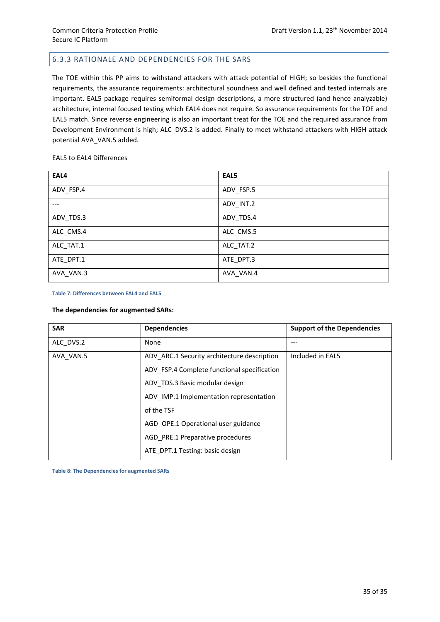# 6.3.3 RATIONALE AND DEPENDENCIES FOR THE SARS

The TOE within this PP aims to withstand attackers with attack potential of HIGH; so besides the functional requirements, the assurance requirements: architectural soundness and well defined and tested internals are important. EAL5 package requires semiformal design descriptions, a more structured (and hence analyzable) architecture, internal focused testing which EAL4 does not require. So assurance requirements for the TOE and EAL5 match. Since reverse engineering is also an important treat for the TOE and the required assurance from Development Environment is high; ALC\_DVS.2 is added. Finally to meet withstand attackers with HIGH attack potential AVA\_VAN.5 added.

#### EAL5 to EAL4 Differences

| EAL4      | EAL5      |
|-----------|-----------|
| ADV_FSP.4 | ADV_FSP.5 |
|           | ADV_INT.2 |
| ADV_TDS.3 | ADV_TDS.4 |
| ALC_CMS.4 | ALC_CMS.5 |
| ALC_TAT.1 | ALC_TAT.2 |
| ATE DPT.1 | ATE DPT.3 |
| AVA_VAN.3 | AVA_VAN.4 |

#### <span id="page-41-0"></span>**Table 7: Differences between EAL4 and EAL5**

#### **The dependencies for augmented SARs:**

| <b>SAR</b> | <b>Dependencies</b>                         | <b>Support of the Dependencies</b> |
|------------|---------------------------------------------|------------------------------------|
| ALC DVS.2  | None                                        | ---                                |
| AVA VAN.5  | ADV ARC.1 Security architecture description | Included in EAL5                   |
|            | ADV FSP.4 Complete functional specification |                                    |
|            | ADV TDS.3 Basic modular design              |                                    |
|            | ADV IMP.1 Implementation representation     |                                    |
|            | of the TSF                                  |                                    |
|            | AGD OPE.1 Operational user guidance         |                                    |
|            | AGD PRE.1 Preparative procedures            |                                    |
|            | ATE DPT.1 Testing: basic design             |                                    |

<span id="page-41-1"></span>**Table 8: The Dependencies for augmented SARs**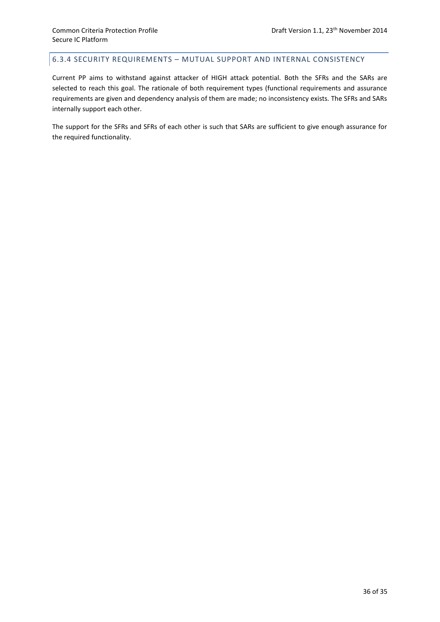# 6.3.4 SECURITY REQUIREMENTS – MUTUAL SUPPORT AND INTERNAL CONSISTENCY

Current PP aims to withstand against attacker of HIGH attack potential. Both the SFRs and the SARs are selected to reach this goal. The rationale of both requirement types (functional requirements and assurance requirements are given and dependency analysis of them are made; no inconsistency exists. The SFRs and SARs internally support each other.

The support for the SFRs and SFRs of each other is such that SARs are sufficient to give enough assurance for the required functionality.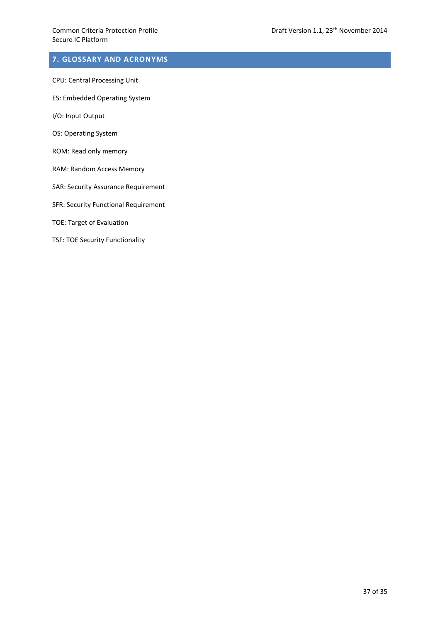# **7. GLOSSARY AND ACRONYMS**

- CPU: Central Processing Unit
- ES: Embedded Operating System
- I/O: Input Output
- OS: Operating System
- ROM: Read only memory
- RAM: Random Access Memory
- SAR: Security Assurance Requirement
- SFR: Security Functional Requirement
- TOE: Target of Evaluation
- TSF: TOE Security Functionality